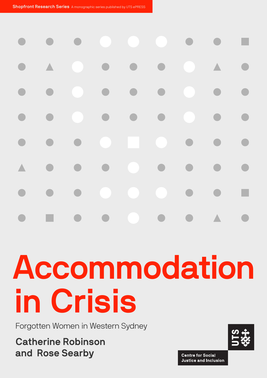

# Accommodation in Crisis

Forgotten Women in Western Sydney

Catherine Robinson and Rose Searby

**Centre for Social Justice and Inclusion**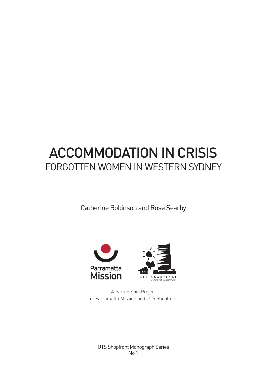## ACCOMMODATION IN CRISIS FORGOTTEN WOMEN IN WESTERN SYDNEY

Catherine Robinson and Rose Searby



A Partnership Project of Parramatta Mission and UTS Shopfront

UTS Shopfront Monograph Series No 1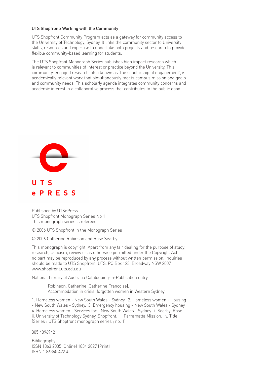#### UTS Shopfront: Working with the Community

UTS Shopfront Community Program acts as a gateway for community access to the University of Technology, Sydney. It links the community sector to University skills, resources and expertise to undertake both projects and research to provide flexible community-based learning for students.

The UTS Shopfront Monograph Series publishes high impact research which is relevant to communities of interest or practice beyond the University. This community-engaged research, also known as 'the scholarship of engagement', is academically relevant work that simultaneously meets campus mission and goals and community needs. This scholarly agenda integrates community concerns and academic interest in a collaborative process that contributes to the public good.



Published by UTSePress UTS Shopfront Monograph Series No 1 This monograph series is refereed.

© 2006 UTS Shopfront in the Monograph Series

© 2006 Catherine Robinson and Rose Searby

This monograph is copyright. Apart from any fair dealing for the purpose of study, research, criticism, review or as otherwise permitted under the Copyright Act no part may be reproduced by any process without written permission. Inquiries should be made to UTS Shopfront, UTS, PO Box 123, Broadway NSW 2007 www.shopfront.uts.edu.au.

National Library of Australia Cataloguing-in-Publication entry

Robinson, Catherine (Catherine Francoise). Accommodation in crisis: forgotten women in Western Sydney

1. Homeless women - New South Wales - Sydney. 2. Homeless women - Housing - New South Wales - Sydney. 3. Emergency housing - New South Wales - Sydney. 4. Homeless women - Services for - New South Wales - Sydney. i. Searby, Rose. ii. University of Technology Sydney. Shopfront. iii. Parramatta Mission. iv. Title. (Series : UTS Shopfront monograph series ; no. 1).

305.4896942

Bibliography. ISSN 1863 2035 (Online) 1834 2027 (Print) ISBN 1 86365 422 4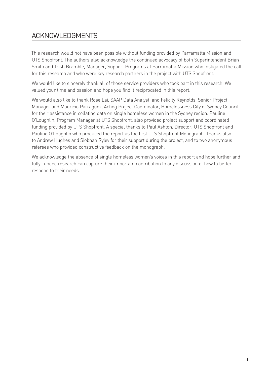## ACKNOWLEDGMENTS

This research would not have been possible without funding provided by Parramatta Mission and UTS Shopfront. The authors also acknowledge the continued advocacy of both Superintendent Brian Smith and Trish Bramble, Manager, Support Programs at Parramatta Mission who instigated the call for this research and who were key research partners in the project with UTS Shopfront.

We would like to sincerely thank all of those service providers who took part in this research. We valued your time and passion and hope you find it reciprocated in this report.

We would also like to thank Rose Lai, SAAP Data Analyst, and Felicity Reynolds, Senior Project Manager and Mauricio Parraguez, Acting Project Coordinator, Homelessness City of Sydney Council for their assistance in collating data on single homeless women in the Sydney region. Pauline O'Loughlin, Program Manager at UTS Shopfront, also provided project support and coordinated funding provided by UTS Shopfront. A special thanks to Paul Ashton, Director, UTS Shopfront and Pauline O'Loughlin who produced the report as the first UTS Shopfront Monograph. Thanks also to Andrew Hughes and Siobhan Ryley for their support during the project, and to two anonymous referees who provided constructive feedback on the monograph.

We acknowledge the absence of single homeless women's voices in this report and hope further and fully-funded research can capture their important contribution to any discussion of how to better respond to their needs.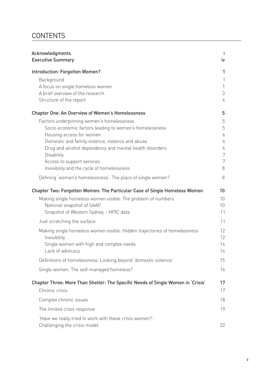## **CONTENTS**

| Acknowledgments<br><b>Executive Summary</b>                                              | J.<br>iv |
|------------------------------------------------------------------------------------------|----------|
| Introduction: Forgotten Women?                                                           | 1        |
| Background                                                                               | 1        |
| A focus on single homeless women                                                         | 1        |
| A brief overview of the research                                                         | 3        |
| Structure of the report                                                                  | 4        |
| <b>Chapter One: An Overview of Women's Homelessness</b>                                  | 5        |
| Factors underpinning women's homelessness                                                | 5        |
| Socio-economic factors leading to women's homelessness                                   | 5        |
| Housing access for women                                                                 | 6        |
| Domestic and family violence, violence and abuse                                         | 6        |
| Drug and alcohol dependency and mental health disorders<br><b>Disability</b>             | 6<br>7   |
| Access to support services                                                               | 7        |
| Invisibility and the cycle of homelessness                                               | 8        |
| Defining 'women's homelessness': The place of single women?                              | 8        |
| Chapter Two: Forgotten Women: The Particular Case of Single Homeless Women               | 10       |
| Making single homeless women visible: The problem of numbers                             | 10       |
| National snapshot of SAAP                                                                | 10       |
| Snapshot of Western Sydney - HPIC data                                                   | 11       |
| Just scratching the surface                                                              | 11       |
| Making single homeless women visible: Hidden trajectories of homelessness                | 12       |
| Invisibility                                                                             | 12       |
| Single women with high and complex needs                                                 | 14       |
| Lack of advocacy                                                                         | 14       |
| Definitions of homelessness: Looking beyond 'domestic violence'                          | 15       |
| Single women: The self-managed homeless?                                                 | 16       |
| Chapter Three: More Than Shelter: The Specific Needs of Single Women in 'Crisis'         | 17       |
| Chronic crisis                                                                           | 17       |
| Complex chronic issues                                                                   | 18       |
| The limited crisis response                                                              | 19       |
| 'Have we really tried to work with these crisis women?':<br>Challenging the crisis model | 22       |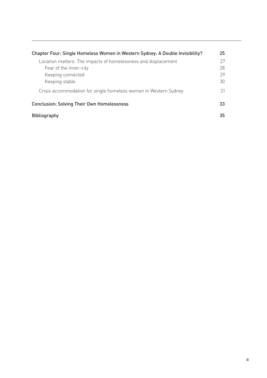| Chapter Four: Single Homeless Women in Western Sydney: A Double Invisibility? | 25 |
|-------------------------------------------------------------------------------|----|
| Location matters: The impacts of homelessness and displacement                | 27 |
| Fear of the inner-city                                                        | 28 |
| Keeping connected                                                             | 29 |
| Keeping stable                                                                | 30 |
| Crisis accommodation for single homeless women in Western Sydney              | 31 |
| <b>Conclusion: Solving Their Own Homelessness</b>                             | 33 |
| <b>Bibliography</b>                                                           | 35 |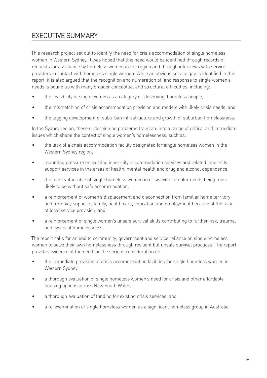## EXECUTIVE SUMMARY

This research project set out to identify the need for crisis accommodation of single homeless women in Western Sydney. It was hoped that this need would be identified through records of requests for assistance by homeless women in the region and through interviews with service providers in contact with homeless single women. While an obvious service gap is identified in this report, it is also argued that the recognition and numeration of, and response to single women's needs is bound up with many broader conceptual and structural difficulties, including:

- the invisibility of single women as a category of 'deserving' homeless people, •
- the mismatching of crisis accommodation provision and models with likely crisis needs, and •
- the lagging development of suburban infrastructure and growth of suburban homelessness. •

In the Sydney region, these underpinning problems translate into a range of critical and immediate issues which shape the context of single women's homelessness, such as:

- the lack of a crisis accommodation facility designated for single homeless women in the Western Sydney region, •
- mounting pressure on existing inner-city accommodation services and related inner-city support services in the areas of health, mental health and drug and alcohol dependence, •
- the most vulnerable of single homeless women in crisis with complex needs being most likely to be without safe accommodation, •
- a reinforcement of women's displacement and disconnection from familiar home territory and from key supports, family, health care, education and employment because of the lack of local service provision, and •
- a reinforcement of single women's unsafe survival skills contributing to further risk, trauma, and cycles of homelessness. •

The report calls for an end to community, government and service reliance on single homeless women to solve their own homelessness through resilient but unsafe survival practices. The report provides evidence of the need for the serious consideration of:

- the immediate provision of crisis accommodation facilities for single homeless women in Western Sydney, •
- a thorough evaluation of single homeless women's need for crisis and other affordable housing options across New South Wales, •
- a thorough evaluation of funding for existing crisis services, and •
- a re-examination of single homeless women as a significant homeless group in Australia. •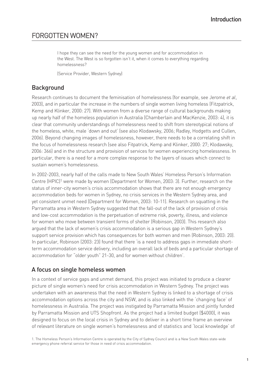## FORGOTTEN WOMEN?

I hope they can see the need for the young women and for accommodation in the West. The West is so forgotten isn't it, when it comes to everything regarding homelessness?

(Service Provider, Western Sydney)

## **Background**

Research continues to document the feminisation of homelessness (for example, see Jerome *et al*, 2003), and in particular the increase in the numbers of single women living homeless (Fitzpatrick, Kemp and Klinker, 2000: 27). With women from a diverse range of cultural backgrounds making up nearly half of the homeless population in Australia (Chamberlain and MacKenzie, 2003: 4), it is clear that community understandings of homelessness need to shift from stereotypical notions of the homeless, white, male 'down and out' (see also Klodawsky, 2006; Radley, Hodgetts and Cullen, 2006). Beyond changing images of homelessness, however, there needs to be a correlating shift in the focus of homelessness research (see also Fitpatrick, Kemp and Klinker, 2000: 27; Klodawsky, 2006: 366) and in the structure and provision of services for women experiencing homelessness. In particular, there is a need for a more complex response to the layers of issues which connect to sustain women's homelessness.

In 2002-2003, nearly half of the calls made to New South Wales' Homeless Person's Information Centre (HPIC)1 were made by women (Department for Women, 2003: 3). Further, research on the status of inner-city women's crisis accommodation shows that there are not enough emergency accommodation beds for women in Sydney, no crisis services in the Western Sydney area, and yet consistent unmet need (Department for Women, 2003: 10-11). Research on squatting in the Parramatta area in Western Sydney suggested that the fall-out of the lack of provision of crisis and low-cost accommodation is the perpetuation of extreme risk, poverty, illness, and violence for women who move between transient forms of shelter (Robinson, 2003). This research also argued that the lack of women's crisis accommodation is a serious gap in Western Sydney's support service provision which has consequences for both women and men (Robinson, 2003: 20). In particular, Robinson (2003: 23) found that there 'is a need to address gaps in immediate shortterm accommodation service delivery, including an overall lack of beds and a particular shortage of accommodation for "older youth" 21-30, and for women without children'.

## A focus on single homeless women

In a context of service gaps and unmet demand, this project was initiated to produce a clearer picture of single women's need for crisis accommodation in Western Sydney. The project was undertaken with an awareness that the need in Western Sydney is linked to a shortage of crisis accommodation options across the city and NSW, and is also linked with the 'changing face' of homelessness in Australia. The project was instigated by Parramatta Mission and jointly funded by Parramatta Mission and UTS Shopfront. As the project had a limited budget (\$4000), it was designed to focus on the local crisis in Sydney and to deliver in a short time frame an overview of relevant literature on single women's homelessness and of statistics and 'local knowledge' of

<sup>1.</sup> The Homeless Person's Information Centre is operated by the City of Sydney Council and is a New South Wales state-wide emergency phone referral service for those in need of crisis accommodation.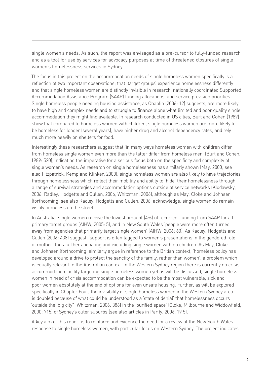single women's needs. As such, the report was envisaged as a pre-cursor to fully-funded research and as a tool for use by services for advocacy purposes at time of threatened closures of single women's homelessness services in Sydney.

The focus in this project on the accommodation needs of single homeless women specifically is a reflection of two important observations; that 'target groups' experience homelessness differently and that single homeless women are distinctly invisible in research, nationally coordinated Supported Accommodation Assistance Program (SAAP) funding allocations, and service provision priorities. Single homeless people needing housing assistance, as Chaplin (2006: 12) suggests, are more likely to have high and complex needs and to struggle to finance alone what limited and poor quality single accommodation they might find available. In research conducted in US cities, Burt and Cohen (1989) show that compared to homeless women with children, single homeless women are more likely to be homeless for longer (several years), have higher drug and alcohol dependency rates, and rely much more heavily on shelters for food.

Interestingly these researchers suggest that 'in many ways homeless women with children differ from homeless single women even more than the latter differ from homeless men' (Burt and Cohen, 1989: 520), indicating the imperative for a serious focus both on the specificity and complexity of single women's needs. As research on single homelessness has similarly shown (May, 2000; see also Fitzpatrick, Kemp and Klinker, 2000), single homeless women are also likely to have trajectories through homelessness which reflect their mobility and ability to 'hide' their homelessness through a range of survival strategies and accommodation options outside of service networks (Klodawsky, 2006; Radley, Hodgetts and Cullen, 2006; Whitzman, 2006), although as May, Cloke and Johnsen (forthcoming; see also Radley, Hodgetts and Cullen, 2006) acknowledge, single women do remain visibly homeless on the street.

In Australia, single women receive the lowest amount (4%) of recurrent funding from SAAP for all primary target groups (AIHW, 2005: 5), and in New South Wales 'people were more often turned away from agencies that primarily target single women' (AIHW, 2006: 60). As Radley, Hodgetts and Cullen (2006: 438) suggest, 'support is often tagged to women's presentations in the gendered role of mother' thus further alienating and excluding single women with no children. As May, Cloke and Johnsen (forthcoming) similarly argue in reference to the British context, 'homeless policy has developed around a drive to protect the sanctity of the family, rather than women', a problem which is equally relevant to the Australian context. In the Western Sydney region there is currently no crisis accommodation facility targeting single homeless women yet as will be discussed, single homeless women in need of crisis accommodation can be expected to be the most vulnerable, sick and poor women absolutely at the end of options for even unsafe housing. Further, as will be explored specifically in Chapter Four, the invisibility of single homeless women in the Western Sydney area is doubled because of what could be understood as a 'state of denial' that homelessness occurs 'outside the 'big city" (Whitzman, 2006: 386) in the 'purified space' (Cloke, Milbourne and Widdowfield, 2000: 715) of Sydney's outer suburbs (see also articles in Parity, 2006, 19 5).

A key aim of this report is to reinforce and evidence the need for a review of the New South Wales response to single homeless women, with particular focus on Western Sydney. The project indicates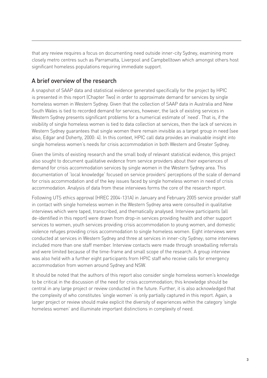that any review requires a focus on documenting need outside inner-city Sydney, examining more closely metro centres such as Parramatta, Liverpool and Campbelltown which amongst others host significant homeless populations requiring immediate support.

## A brief overview of the research

A snapshot of SAAP data and statistical evidence generated specifically for the project by HPIC is presented in this report (Chapter Two) in order to approximate demand for services by single homeless women in Western Sydney. Given that the collection of SAAP data in Australia and New South Wales is tied to recorded demand for services, however, the lack of existing services in Western Sydney presents significant problems for a numerical estimate of 'need'. That is, if the visibility of single homeless women is tied to data collection at services, then the lack of services in Western Sydney guarantees that single women there remain invisible as a target group in need (see also, Edgar and Doherty, 2000: 4). In this context, HPIC call data provides an invaluable insight into single homeless women's needs for crisis accommodation in both Western and Greater Sydney.

Given the limits of existing research and the small body of relevant statistical evidence, this project also sought to document qualitative evidence from service providers about their experiences of demand for crisis accommodation services by single women in the Western Sydney area. This documentation of 'local knowledge' focused on service providers' perceptions of the scale of demand for crisis accommodation and of the key issues faced by single homeless women in need of crisis accommodation. Analysis of data from these interviews forms the core of the research report.

Following UTS ethics approval (HREC 2004-131A) in January and February 2005 service provider staff in contact with single homeless women in the Western Sydney area were consulted in qualitative interviews which were taped, transcribed, and thematically analysed. Interview participants (all de-identified in this report) were drawn from drop-in services providing health and other support services to women, youth services providing crisis accommodation to young women, and domestic violence refuges providing crisis accommodation to single homeless women. Eight interviews were conducted at services in Western Sydney and three at services in inner-city Sydney; some interviews included more than one staff member. Interview contacts were made through snowballing referrals and were limited because of the time-frame and small scope of the research. A group interview was also held with a further eight participants from HPIC staff who receive calls for emergency accommodation from women around Sydney and NSW.

It should be noted that the authors of this report also consider single homeless women's knowledge to be critical in the discussion of the need for crisis accommodation; this knowledge should be central in any large project or review conducted in the future. Further, it is also acknowledged that the complexity of who constitutes 'single women' is only partially captured in this report. Again, a larger project or review should make explicit the diversity of experiences within the category 'single homeless women' and illuminate important distinctions in complexity of need.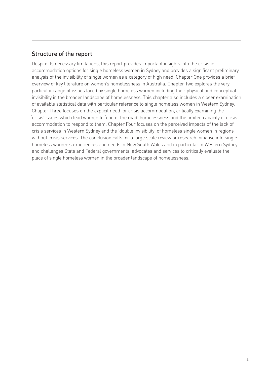## Structure of the report

Despite its necessary limitations, this report provides important insights into the crisis in accommodation options for single homeless women in Sydney and provides a significant preliminary analysis of the invisibility of single women as a category of high need. Chapter One provides a brief overview of key literature on women's homelessness in Australia. Chapter Two explores the very particular range of issues faced by single homeless women including their physical and conceptual invisibility in the broader landscape of homelessness. This chapter also includes a closer examination of available statistical data with particular reference to single homeless women in Western Sydney. Chapter Three focuses on the explicit need for crisis accommodation, critically examining the 'crisis' issues which lead women to 'end of the road' homelessness and the limited capacity of crisis accommodation to respond to them. Chapter Four focuses on the perceived impacts of the lack of crisis services in Western Sydney and the 'double invisibility' of homeless single women in regions without crisis services. The conclusion calls for a large scale review or research initiative into single homeless women's experiences and needs in New South Wales and in particular in Western Sydney, and challenges State and Federal governments, advocates and services to critically evaluate the place of single homeless women in the broader landscape of homelessness.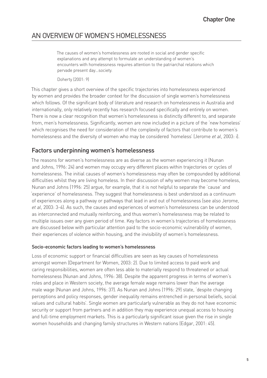## AN OVERVIEW OF WOMEN'S HOMELESSNESS

The causes of women's homelessness are rooted in social and gender specific explanations and any attempt to formulate an understanding of women's encounters with homelessness requires attention to the patriarchal relations which pervade present day…society.

Doherty (2001: 9)

This chapter gives a short overview of the specific trajectories into homelessness experienced by women and provides the broader context for the discussion of single women's homelessness which follows. Of the significant body of literature and research on homelessness in Australia and internationally, only relatively recently has research focused specifically and entirely on women. There is now a clear recognition that women's homelessness is distinctly different to, and separate from, men's homelessness. Significantly, women are now included in a picture of the 'new homeless' which recognises the need for consideration of the complexity of factors that contribute to women's homelessness and the diversity of women who may be considered 'homeless' (Jerome *et al*, 2003: i).

## Factors underpinning women's homelessness

The reasons for women's homelessness are as diverse as the women experiencing it (Nunan and Johns, 1996: 24) and women may occupy very different places within trajectories or cycles of homelessness. The initial causes of women's homelessness may often be compounded by additional difficulties whilst they are living homeless. In their discussion of why women may become homeless, Nunan and Johns (1996: 25) argue, for example, that it is not helpful to separate the 'cause' and 'experience' of homelessness. They suggest that homelessness is best understood as a continuum of experiences along a pathway or pathways that lead in and out of homelessness (see also Jerome, *et al*, 2003: 3-4). As such, the causes and experiences of women's homelessness can be understood as interconnected and mutually reinforcing, and thus women's homelessness may be related to multiple issues over any given period of time. Key factors in women's trajectories of homelessness are discussed below with particular attention paid to the socio-economic vulnerability of women, their experiences of violence within housing, and the invisibility of women's homelessness.

#### Socio-economic factors leading to women's homelessness

Loss of economic support or financial difficulties are seen as key causes of homelessness amongst women (Department for Women, 2003: 2). Due to limited access to paid work and caring responsibilities, women are often less able to materially respond to threatened or actual homelessness (Nunan and Johns, 1996: 38). Despite the apparent progress in terms of women's roles and place in Western society, the average female wage remains lower than the average male wage (Nunan and Johns, 1996: 37). As Nunan and Johns (1996: 29) state, 'despite changing perceptions and policy responses, gender inequality remains entrenched in personal beliefs, social values and cultural habits'. Single women are particularly vulnerable as they do not have economic security or support from partners and in addition they may experience unequal access to housing and full-time employment markets. This is a particularly significant issue given the rise in single women households and changing family structures in Western nations (Edgar, 2001: 45).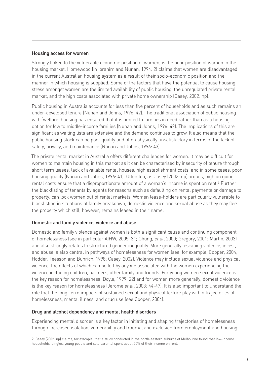#### Housing access for women

Strongly linked to the vulnerable economic position of women, is the poor position of women in the housing market. Homewood (in Ibrahim and Nunan, 1994: 2) claims that women are disadvantaged in the current Australian housing system as a result of their socio-economic position and the manner in which housing is supplied. Some of the factors that have the potential to cause housing stress amongst women are the limited availability of public housing, the unregulated private rental market, and the high costs associated with private home ownership (Casey, 2002: np).

Public housing in Australia accounts for less than five percent of households and as such remains an under-developed tenure (Nunan and Johns, 1996: 42). The traditional association of public housing with 'welfare' housing has ensured that it is limited to families in need rather than as a housing option for low to middle-income families (Nunan and Johns, 1996: 42). The implications of this are significant as waiting lists are extensive and the demand continues to grow. It also means that the public housing stock can be poor quality and often physically unsatisfactory in terms of the lack of safety, privacy, and maintenance (Nunan and Johns, 1996: 43).

The private rental market in Australia offers different challenges for women. It may be difficult for women to maintain housing in this market as it can be characterised by insecurity of tenure through short term leases, lack of available rental houses, high establishment costs, and in some cases, poor housing quality (Nunan and Johns, 1996: 41). Often too, as Casey (2002: np) argues, high on going rental costs ensure that a disproportionate amount of a woman's income is spent on rent.<sup>2</sup> Further, the blacklisting of tenants by agents for reasons such as defaulting on rental payments or damage to property, can lock women out of rental markets. Women lease-holders are particularly vulnerable to blacklisting in situations of family breakdown, domestic violence and sexual abuse as they may flee the property which still, however, remains leased in their name.

#### Domestic and family violence, violence and abuse

Domestic and family violence against women is both a significant cause and continuing component of homelessness (see in particular AIHW, 2005: 31; Chung, *et al*, 2000; Gregory, 2001; Martin, 2003) and also strongly relates to structured gender inequality. More generally, escaping violence, incest, and abuse is also central in pathways of homelessness for women (see, for example, Cooper, 2004; Hodder, Teesson and Buhrich, 1998; Casey, 2002). Violence may include sexual violence and physical violence, the effects of which can be felt by anyone associated with the women experiencing the violence including children, partners, other family and friends. For young women sexual violence is the key reason for homelessness (Doyle, 1999: 22) and for women more generally, domestic violence is the key reason for homelessness (Jerome *et al*, 2003: 44-47). It is also important to understand the role that the long-term impacts of sustained sexual and physical torture play within trajectories of homelessness, mental illness, and drug use (see Cooper, 2004).

#### Drug and alcohol dependency and mental health disorders

Experiencing mental disorder is a key factor in initiating and shaping trajectories of homelessness through increased isolation, vulnerability and trauma, and exclusion from employment and housing

2. Casey (2002: np) claims, for example, that a study conducted in the north-eastern suburbs of Melbourne found that low-income households (singles, young people and sole parents) spent about 50% of their income on rent.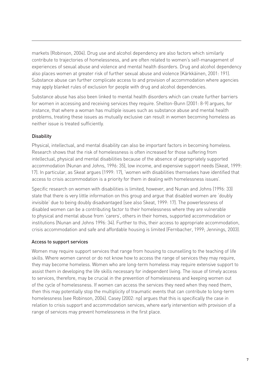markets (Robinson, 2004). Drug use and alcohol dependency are also factors which similarly contribute to trajectories of homelessness, and are often related to women's self-management of experiences of sexual abuse and violence and mental health disorders. Drug and alcohol dependency also places women at greater risk of further sexual abuse and violence (Kärkkäinen, 2001: 191). Substance abuse can further complicate access to and provision of accommodation where agencies may apply blanket rules of exclusion for people with drug and alcohol dependencies.

Substance abuse has also been linked to mental health disorders which can create further barriers for women in accessing and receiving services they require. Shelton-Bunn (2001: 8-9) argues, for instance, that where a woman has multiple issues such as substance abuse and mental health problems, treating these issues as mutually exclusive can result in women becoming homeless as neither issue is treated sufficiently.

#### **Disability**

Physical, intellectual, and mental disability can also be important factors in becoming homeless. Research shows that the risk of homelessness is often increased for those suffering from intellectual, physical and mental disabilities because of the absence of appropriately supported accommodation (Nunan and Johns, 1996: 35), low income, and expensive support needs (Skeat, 1999: 17). In particular, as Skeat argues (1999: 17), 'women with disabilities themselves have identified that access to crisis accommodation is a priority for them in dealing with homelessness issues'.

Specific research on women with disabilities is limited, however, and Nunan and Johns (1996: 33) state that there is very little information on this group and argue that disabled women are 'doubly invisible' due to being doubly disadvantaged (see also Skeat, 1999: 17). The powerlessness of disabled women can be a contributing factor to their homelessness where they are vulnerable to physical and mental abuse from 'carers', others in their homes, supported accommodation or institutions (Nunan and Johns 1996: 34). Further to this, their access to appropriate accommodation, crisis accommodation and safe and affordable housing is limited (Fernbacher, 1999; Jennings, 2003).

#### Access to support services

Women may require support services that range from housing to counselling to the teaching of life skills. Where women cannot or do not know how to access the range of services they may require, they may become homeless. Women who are long-term homeless may require extensive support to assist them in developing the life skills necessary for independent living. The issue of timely access to services, therefore, may be crucial in the prevention of homelessness and keeping women out of the cycle of homelessness. If women can access the services they need when they need them, then this may potentially stop the multiplicity of traumatic events that can contribute to long-term homelessness (see Robinson, 2004). Casey (2002: np) argues that this is specifically the case in relation to crisis support and accommodation services, where early intervention with provision of a range of services may prevent homelessness in the first place.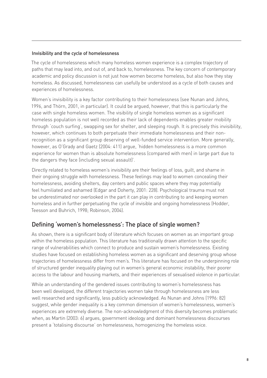#### Invisibility and the cycle of homelessness

The cycle of homelessness which many homeless women experience is a complex trajectory of paths that may lead into, and out of, and back to, homelessness. The key concern of contemporary academic and policy discussion is not just how women become homeless, but also how they stay homeless. As discussed, homelessness can usefully be understood as a cycle of both causes and experiences of homelessness.

Women's invisibility is a key factor contributing to their homelessness (see Nunan and Johns, 1996, and Thörn, 2001, in particular). It could be argued, however, that this is particularly the case with single homeless women. The visibility of single homeless women as a significant homeless population is not well recorded as their lack of dependents enables greater mobility through 'couch surfing', swapping sex for shelter, and sleeping rough. It is precisely this invisibility, however, which continues to both perpetuate their immediate homelessness and their nonrecognition as a significant group deserving of well-funded service intervention. More generally, however, as O'Grady and Gaetz (2004: 411) argue, 'hidden homelessness is a more common experience for women than is absolute homelessness (compared with men) in large part due to the dangers they face (including sexual assault)'.

Directly related to homeless women's invisibility are their feelings of loss, guilt, and shame in their ongoing struggle with homelessness. These feelings may lead to women concealing their homelessness, avoiding shelters, day centers and public spaces where they may potentially feel humiliated and ashamed (Edgar and Doherty, 2001: 228). Psychological trauma must not be underestimated nor overlooked in the part it can play in contributing to and keeping women homeless and in further perpetuating the cycle of invisible and ongoing homelessness (Hodder, Teesson and Buhrich, 1998; Robinson, 2004).

## Defining 'women's homelessness': The place of single women?

As shown, there is a significant body of literature which focuses on women as an important group within the homeless population. This literature has traditionally drawn attention to the specific range of vulnerabilities which connect to produce and sustain women's homelessness. Existing studies have focused on establishing homeless women as a significant and deserving group whose trajectories of homelessness differ from men's. This literature has focused on the underpinning role of structured gender inequality playing out in women's general economic instability, their poorer access to the labour and housing markets, and their experiences of sexualised violence in particular.

While an understanding of the gendered issues contributing to women's homelessness has been well developed, the different trajectories women take through homelessness are less well researched and significantly, less publicly acknowledged. As Nunan and Johns (1996: 82) suggest, while gender inequality is a key common dimension of women's homelessness, women's experiences are extremely diverse. The non-acknowledgment of this diversity becomes problematic when, as Martin (2003: 6) argues, government ideology and dominant homelessness discourses present a 'totalising discourse' on homelessness, homogenizing the homeless voice.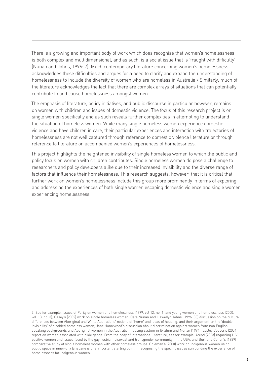There is a growing and important body of work which does recognise that women's homelessness is both complex and multidimensional, and as such, is a social issue that is 'fraught with difficulty' (Nunan and Johns, 1996: 7). Much contemporary literature concerning women's homelessness acknowledges these difficulties and argues for a need to clarify and expand the understanding of homelessness to include the diversity of women who are homeless in Australia.<sup>3</sup> Similarly, much of the literature acknowledges the fact that there are complex arrays of situations that can potentially contribute to and cause homelessness amongst women.

The emphasis of literature, policy initiatives, and public discourse in particular however, remains on women with children and issues of domestic violence. The focus of this research project is on single women specifically and as such reveals further complexities in attempting to understand the situation of homeless women. While many single homeless women experience domestic violence and have children in care, their particular experiences and interaction with trajectories of homelessness are not well captured through reference to domestic violence literature or through reference to literature on accompanied women's experiences of homelessness.

This project highlights the heightened invisibility of single homeless women to which the public and policy focus on women with children contributes. Single homeless women do pose a challenge to researchers and policy developers alike due to their increased invisibility and the diverse range of factors that influence their homelessness. This research suggests, however, that it is critical that further work on women's homelessness include this group more prominently in terms of exploring and addressing the experiences of both single women escaping domestic violence and single women experiencing homelessness.

3. See for example, issues of Parity on women and homelessness (1999, vol 12, no. 1) and young women and homelessness (2000, vol. 13, no. 3); Casey's (2002) work on single homeless women; Cate Nunan and Llewellyn Johns' (1996: 33) discussion on the cultural differences between Aboriginal and White Australians' notions of 'home' and ideas of housing, and their argument on the 'double invisibility' of disabled homeless women; Jane Homewood's discussion about discrimination against women from non English speaking backgrounds and Aboriginal women in the Australian housing system in Ibrahim and Nunan (1994); Lesley Cooper's (2004) report on women associated with bikie gangs. From the body of international literature, see for example, Arend (2003) regarding HIV positive women and issues faced by the gay, lesbian, bisexual and transgender community in the USA, and Burt and Cohen's (1989) comparative study of single homeless women with other homeless groups. Coleman's (2000) work on Indigenous women using public space in inner-city Brisbane is one important starting point in recognising the specific issues surrounding the experience of homelessness for Indigenous women.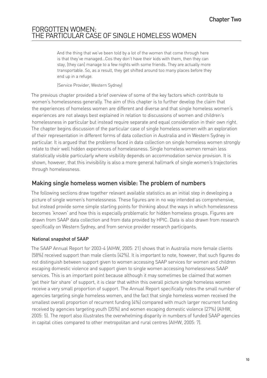## FORGOTTEN WOMEN: THE PARTICULAR CASE OF SINGLE HOMELESS WOMEN

And the thing that we've been told by a lot of the women that come through here is that they've managed…Cos they don't have their kids with them, then they can stay, [they can] manage to a few nights with some friends. They are actually more transportable. So, as a result, they get shifted around too many places before they end up in a refuge.

(Service Provider, Western Sydney)

The previous chapter provided a brief overview of some of the key factors which contribute to women's homelessness generally. The aim of this chapter is to further develop the claim that the experiences of homeless women are different and diverse and that single homeless women's experiences are not always best explained in relation to discussions of women and children's homelessness in particular but instead require separate and equal consideration in their own right. The chapter begins discussion of the particular case of single homeless women with an exploration of their representation in different forms of data collection in Australia and in Western Sydney in particular. It is argued that the problems faced in data collection on single homeless women strongly relate to their well hidden experiences of homelessness. Single homeless women remain less statistically visible particularly where visibility depends on accommodation service provision. It is shown, however, that this invisibility is also a more general hallmark of single women's trajectories through homelessness.

## Making single homeless women visible: The problem of numbers

The following sections draw together relevant available statistics as an initial step in developing a picture of single women's homelessness. These figures are in no way intended as comprehensive, but instead provide some simple starting points for thinking about the ways in which homelessness becomes 'known' and how this is especially problematic for hidden homeless groups. Figures are drawn from SAAP data collection and from data provided by HPIC. Data is also drawn from research specifically on Western Sydney, and from service provider research participants.

#### National snapshot of SAAP

The SAAP Annual Report for 2003-4 (AIHW, 2005: 21) shows that in Australia more female clients (58%) received support than male clients (42%). It is important to note, however, that such figures do not distinguish between support given to women accessing SAAP services for women and children escaping domestic violence and support given to single women accessing homelessness SAAP services. This is an important point because although it may sometimes be claimed that women 'get their fair share' of support, it is clear that within this overall picture single homeless women receive a very small proportion of support. The Annual Report specifically notes the small number of agencies targeting single homeless women, and the fact that single homeless women received the smallest overall proportion of recurrent funding (4%) compared with much larger recurrent funding received by agencies targeting youth (35%) and women escaping domestic violence (27%) (AIHW, 2005: 5). The report also illustrates the overwhelming disparity in numbers of funded SAAP agencies in capital cities compared to other metropolitan and rural centres (AIHW, 2005: 7).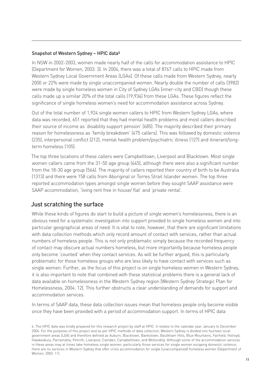#### Snapshot of Western Sydney – HPIC data4

In NSW in 2002-2003, women made nearly half of the calls for accommodation assistance to HPIC (Department for Women, 2003: 3). In 2004, there was a total of 8767 calls to HPIC made from Western Sydney Local Government Areas (LGAs). Of these calls made from Western Sydney, nearly 2000 or 22% were made by single unaccompanied women. Nearly double the number of calls (3982) were made by single homeless women in City of Sydney LGAs (inner-city and CBD) though these calls made up a similar 20% of the total calls (19,934) from these LGAs. These figures reflect the significance of single homeless women's need for accommodation assistance across Sydney.

Out of the total number of 1,924 single women callers to HPIC from Western Sydney LGAs, where data was recorded, 651 reported that they had mental health problems and most callers described their source of income as 'disability support pension' (685). The majority described their primary reason for homelessness as 'family breakdown' (475 callers). This was followed by domestic violence (235), interpersonal conflict (212), mental health problem/psychiatric illness (127) and itinerant/longterm homeless (105).

The top three locations of these callers were Campbelltown, Liverpool and Blacktown. Most single women callers came from the 31-50 age group (645), although there were also a significant number from the 18-30 age group (564). The majority of callers reported their country of birth to be Australia (1313) and there were 158 calls from Aboriginal or Torres Strait Islander women. The top three reported accommodation types amongst single women before they sought SAAP assistance were SAAP accommodation, 'living rent free in house/ flat' and 'private rental'.

## Just scratching the surface

While these kinds of figures do start to build a picture of single women's homelessness, there is an obvious need for a systematic investigation into support provided to single homeless women and into particular geographical areas of need. It is vital to note, however, that there are significant limitations with data collection methods which only record amount of contact with services, rather than actual numbers of homeless people. This is not only problematic simply because the recorded frequency of contact may obscure actual numbers homeless, but more importantly because homeless people only become 'counted' when they contact services. As will be further argued, this is particularly problematic for those homeless groups who are less likely to have contact with services such as single women. Further, as the focus of this project is on single homeless women in Western Sydney, it is also important to note that combined with these statistical problems there is a general lack of data available on homelessness in the Western Sydney region (Western Sydney Strategic Plan for Homelessness, 2004: 12). This further obstructs a clear understanding of demands for support and accommodation services.

In terms of SAAP data, these data collection issues mean that homeless people only become visible once they have been provided with a period of accommodation support. In terms of HPIC data

<sup>4.</sup> The HPIC data was kindly prepared for this research project by staff at HPIC. It relates to the calendar year January to December 2004. For the purposes of this project and as per HPIC methods of data collection, Western Sydney is divided into fourteen local government areas (LGA) and therefore defined as Auburn, Blacktown, Bankstown, Baulkham Hills, Blue Mountains, Fairfield, Holroyd, Hawkesbury, Parramatta, Penrith, Liverpool, Camden, Campbelltown, and Wollondilly. Although some of the accommodation services in these areas may at times take homeless single women, particularly those services for single women escaping domestic violence, there are no services in Western Sydney that offer crisis accommodation for single (unaccompanied) homeless women (Department of Women, 2003: 11).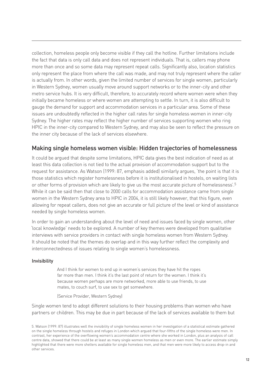collection, homeless people only become visible if they call the hotline. Further limitations include the fact that data is only call data and does not represent individuals. That is, callers may phone more than once and so some data may represent repeat calls. Significantly also, location statistics only represent the place from where the call was made, and may not truly represent where the caller is actually from. In other words, given the limited number of services for single women, particularly in Western Sydney, women usually move around support networks or to the inner-city and other metro service hubs. It is very difficult, therefore, to accurately record where women were when they initially became homeless or where women are attempting to settle. In turn, it is also difficult to gauge the demand for support and accommodation services in a particular area. Some of these issues are undoubtedly reflected in the higher call rates for single homeless women in inner-city Sydney. The higher rates may reflect the higher number of services supporting women who ring HPIC in the inner-city compared to Western Sydney, and may also be seen to reflect the pressure on the inner city because of the lack of services elsewhere.

## Making single homeless women visible: Hidden trajectories of homelessness

It could be argued that despite some limitations, HPIC data gives the best indication of need as at least this data collection is not tied to the actual provision of accommodation support but to the request for assistance. As Watson (1999: 87, emphasis added) similarly argues, 'the point is that it is those statistics which register homelessness before it is institutionalised in hostels, on waiting lists or other forms of provision which are likely to give us the most accurate picture of homelessness'.5 While it can be said then that close to 2000 calls for accommodation assistance came from single women in the Western Sydney area to HPIC in 2004, it is still likely however, that this figure, even allowing for repeat callers, does not give an accurate or full picture of the level or kind of assistance needed by single homeless women.

In order to gain an understanding about the level of need and issues faced by single women, other 'local knowledge' needs to be explored. A number of key themes were developed from qualitative interviews with service providers in contact with single homeless women from Western Sydney. It should be noted that the themes do overlap and in this way further reflect the complexity and interconnectedness of issues relating to single women's homelessness.

#### Invisibility

And I think for women to end up in women's services they have hit the ropes far more than men. I think it's the last point of return for the women. I think it's because women perhaps are more networked, more able to use friends, to use mates, to couch surf, to use sex to get somewhere.

(Service Provider, Western Sydney)

Single women tend to adopt different solutions to their housing problems than women who have partners or children. This may be due in part because of the lack of services available to them but

<sup>5.</sup> Watson (1999: 87) illustrates well the invisibility of single homeless women in her investigation of a statistical estimate gathered on the single homeless through hostels and refuges in London which argued that four-fifths of the single homeless were men. In contrast, her experience of the overflowing women's accommodation centre where she worked in London, plus an analysis of call centre data, showed that there could be at least as many single women homeless as men or even more. The earlier estimate simply highlighted that there were more shelters available for single homeless men, and that men were more likely to access drop-in and other services.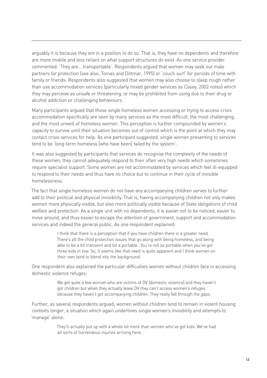arguably it is because they are in a position to do so. That is, they have no dependents and therefore are more mobile and less reliant on what support structures do exist. As one service provider commented: 'They are… transportable'. Respondents argued that women may seek out male partners for protection (see also, Tomas and Dittmar, 1995) or 'couch surf' for periods of time with family or friends. Respondents also suggested that women may also choose to sleep rough rather than use accommodation services (particularly mixed gender services as Casey, 2002 notes) which they may perceive as unsafe or threatening, or may be prohibited from using due to their drug or alcohol addiction or challenging behaviours.

Many participants argued that those single homeless women accessing or trying to access crisis accommodation specifically are seen by many services as the most difficult, the most challenging, and the most unwell of homeless women. This perception is further compounded by women's capacity to survive until their situation becomes out of control which is the point at which they may contact crisis services for help. As one participant suggested, single women presenting to services tend to be 'long-term homeless [who have been] failed by the system'.

It was also suggested by participants that services do recognise the complexity of the needs of these women; they cannot adequately respond to their often very high needs which sometimes require specialist support. Some women are not accommodated by services which feel ill-equipped to respond to their needs and thus have no choice but to continue in their cycle of invisible homelessness.

The fact that single homeless women do not have any accompanying children serves to further add to their political and physical invisibility. That is, having accompanying children not only makes women more physically visible, but also more politically visible because of State obligations of child welfare and protection. As a single unit with no dependents, it is easier not to be noticed, easier to move around, and thus easier to escape the attention of government, support and accommodation services and indeed the general public. As one respondent explained:

> I think that there is a perception that if you have children there is a greater need. There's all the child protection issues that go along with being homeless, and being able to be a bit transient and bit a portable…You're not so portable when you've got three kids in tow. So, it seems like that need is quite apparent and I think women on their own tend to blend into the background.

One respondent also explained the particular difficulties women without children face in accessing domestic violence refuges:

> We get quite a few women who are victims of DV [domestic violence] and they haven't got children but when they actually leave DV they can't access women's refuges because they haven't got accompanying children. They really fall through the gaps.

Further, as several respondents argued, women without children tend to remain in violent housing contexts longer, a situation which again underlines single women's invisibility and attempts to 'manage' alone:

> They'll actually put up with a whole lot more than women who've got kids. We've had all sorts of horrendous injuries arriving here…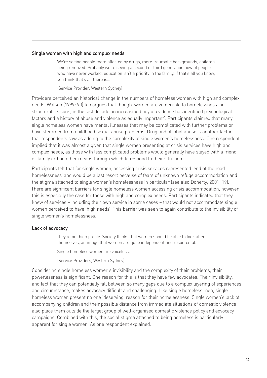#### Single women with high and complex needs

We're seeing people more affected by drugs, more traumatic backgrounds, children being removed. Probably we're seeing a second or third generation now of people who have never worked, education isn't a priority in the family. If that's all you know, you think that's all there is…

(Service Provider, Western Sydney)

Providers perceived an historical change in the numbers of homeless women with high and complex needs. Watson (1999: 90) too argues that though 'women are vulnerable to homelessness for structural reasons, in the last decade an increasing body of evidence has identified psychological factors and a history of abuse and violence as equally important'. Participants claimed that many single homeless women have mental illnesses that may be complicated with further problems or have stemmed from childhood sexual abuse problems. Drug and alcohol abuse is another factor that respondents saw as adding to the complexity of single women's homelessness. One respondent implied that it was almost a given that single women presenting at crisis services have high and complex needs, as those with less complicated problems would generally have stayed with a friend or family or had other means through which to respond to their situation.

Participants felt that for single women, accessing crisis services represented 'end of the road homelessness' and would be a last resort because of fears of unknown refuge accommodation and the stigma attached to single women's homelessness in particular (see also Doherty, 2001: 19). There are significant barriers for single homeless women accessing crisis accommodation, however this is especially the case for those with high and complex needs. Participants indicated that they knew of services – including their own service in some cases – that would not accommodate single women perceived to have 'high needs'. This barrier was seen to again contribute to the invisibility of single women's homelessness.

#### Lack of advocacy

They're not high profile. Society thinks that women should be able to look after themselves, an image that women are quite independent and resourceful.

Single homeless women are voiceless.

(Service Providers, Western Sydney)

Considering single homeless women's invisibility and the complexity of their problems, their powerlessness is significant. One reason for this is that they have few advocates. Their invisibility, and fact that they can potentially fall between so many gaps due to a complex layering of experiences and circumstance, makes advocacy difficult and challenging. Like single homeless men, single homeless women present no one 'deserving' reason for their homelessness. Single women's lack of accompanying children and their possible distance from immediate situations of domestic violence also place them outside the target group of well-organised domestic violence policy and advocacy campaigns. Combined with this, the social stigma attached to being homeless is particularly apparent for single women. As one respondent explained: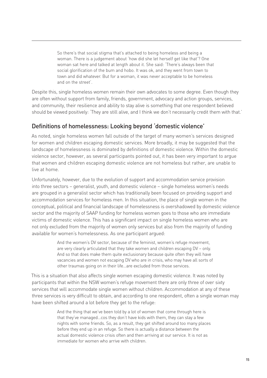So there's that social stigma that's attached to being homeless and being a woman. There is a judgement about 'how did she let herself get like that'? One woman sat here and talked at length about it. She said: 'There's always been that social glorification of the bum and hobo. It was ok, and they went from town to town and did whatever. But for a woman, it was never acceptable to be homeless and on the street'.

Despite this, single homeless women remain their own advocates to some degree. Even though they are often without support from family, friends, government, advocacy and action groups, services, and community, their resilience and ability to stay alive is something that one respondent believed should be viewed positively: 'They are still alive, and I think we don't necessarily credit them with that.'

## Definitions of homelessness: Looking beyond 'domestic violence'

As noted, single homeless women fall outside of the target of many women's services designed for women and children escaping domestic services. More broadly, it may be suggested that the landscape of homelessness is dominated by definitions of domestic violence. Within the domestic violence sector, however, as several participants pointed out, it has been very important to argue that women and children escaping domestic violence are not homeless but rather, are unable to live at home.

Unfortunately, however, due to the evolution of support and accommodation service provision into three sectors – generalist, youth, and domestic violence – single homeless women's needs are grouped in a generalist sector which has traditionally been focused on providing support and accommodation services for homeless men. In this situation, the place of single women in the conceptual, political and financial landscape of homelessness is overshadowed by domestic violence sector and the majority of SAAP funding for homeless women goes to those who are immediate victims of domestic violence. This has a significant impact on single homeless women who are not only excluded from the majority of women only services but also from the majority of funding available for women's homelessness. As one participant argued:

> And the women's DV sector, because of the feminist, women's refuge movement, are very clearly articulated that they take women and children escaping DV – only. And so that does make them quite exclusionary because quite often they will have vacancies and women not escaping DV who are in crisis, who may have all sorts of other traumas going on in their life…are excluded from those services.

This is a situation that also affects single women escaping domestic violence. It was noted by participants that within the NSW women's refuge movement there are only three of over sixty services that will accommodate single women without children. Accommodation at any of these three services is very difficult to obtain, and according to one respondent, often a single woman may have been shifted around a lot before they get to the refuge:

> And the thing that we've been told by a lot of women that come through here is that they've managed…cos they don't have kids with them, they can stay a few nights with some friends. So, as a result, they get shifted around too many places before they end up in an refuge. So there is actually a distance between the actual domestic violence crisis often and then arriving at our service. It is not as immediate for women who arrive with children.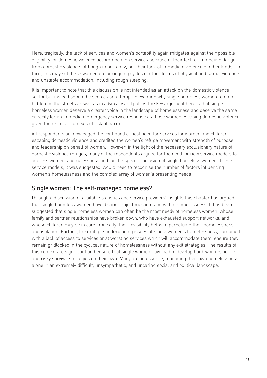Here, tragically, the lack of services and women's portability again mitigates against their possible eligibility for domestic violence accommodation services because of their lack of immediate danger from domestic violence (although importantly, not their lack of immediate violence of other kinds). In turn, this may set these women up for ongoing cycles of other forms of physical and sexual violence and unstable accommodation, including rough sleeping.

It is important to note that this discussion is not intended as an attack on the domestic violence sector but instead should be seen as an attempt to examine why single homeless women remain hidden on the streets as well as in advocacy and policy. The key argument here is that single homeless women deserve a greater voice in the landscape of homelessness and deserve the same capacity for an immediate emergency service response as those women escaping domestic violence, given their similar contexts of risk of harm.

All respondents acknowledged the continued critical need for services for women and children escaping domestic violence and credited the women's refuge movement with strength of purpose and leadership on behalf of women. However, in the light of the necessary exclusionary nature of domestic violence refuges, many of the respondents argued for the need for new service models to address women's homelessness and for the specific inclusion of single homeless women. These service models, it was suggested, would need to recognise the number of factors influencing women's homelessness and the complex array of women's presenting needs.

## Single women: The self-managed homeless?

Through a discussion of available statistics and service providers' insights this chapter has argued that single homeless women have distinct trajectories into and within homelessness. It has been suggested that single homeless women can often be the most needy of homeless women, whose family and partner relationships have broken down, who have exhausted support networks, and whose children may be in care. Ironically, their invisibility helps to perpetuate their homelessness and isolation. Further, the multiple underpinning issues of single women's homelessness, combined with a lack of access to services or at worst no services which will accommodate them, ensure they remain gridlocked in the cyclical nature of homelessness without any exit strategies. The results of this context are significant and ensure that single women have had to develop hard-won resilience and risky survival strategies on their own. Many are, in essence, managing their own homelessness alone in an extremely difficult, unsympathetic, and uncaring social and political landscape.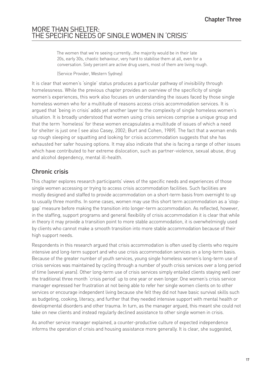## MORE THAN SHELTER: THE SPECIFIC NEEDS OF SINGLE WOMEN IN 'CRISIS'

The women that we're seeing currently…the majority would be in their late 20s, early 30s, chaotic behaviour, very hard to stabilise them at all, even for a conversation. Sixty percent are active drug users, most of them are living rough.

(Service Provider, Western Sydney)

It is clear that women's 'single' status produces a particular pathway of invisibility through homelessness. While the previous chapter provides an overview of the specificity of single women's experiences, this work also focuses on understanding the issues faced by those single homeless women who for a multitude of reasons access crisis accommodation services. It is argued that 'being in crisis' adds yet another layer to the complexity of single homeless women's situation. It is broadly understood that women using crisis services comprise a unique group and that the term 'homeless' for these women encapsulates a multitude of issues of which a need for shelter is just one ( see also Casey, 2002; Burt and Cohen, 1989). The fact that a woman ends up rough sleeping or squatting and looking for crisis accommodation suggests that she has exhausted her safer housing options. It may also indicate that she is facing a range of other issues which have contributed to her extreme dislocation, such as partner-violence, sexual abuse, drug and alcohol dependency, mental ill-health.

## Chronic crisis

This chapter explores research participants' views of the specific needs and experiences of those single women accessing or trying to access crisis accommodation facilities. Such facilities are mostly designed and staffed to provide accommodation on a short-term basis from overnight to up to usually three months. In some cases, women may use this short term accommodation as a 'stopgap' measure before making the transition into longer-term accommodation. As reflected, however, in the staffing, support programs and general flexibility of crisis accommodation it is clear that while in theory it may provide a transition point to more stable accommodation, it is overwhelmingly used by clients who cannot make a smooth transition into more stable accommodation because of their high support needs.

Respondents in this research argued that crisis accommodation is often used by clients who require intensive and long-term support and who use crisis accommodation services on a long-term basis. Because of the greater number of youth services, young single homeless women's long-term use of crisis services was maintained by cycling through a number of youth crisis services over a long period of time (several years). Other long-term use of crisis services simply entailed clients staying well over the traditional three month 'crisis period' up to one year or even longer. One women's crisis service manager expressed her frustration at not being able to refer her single women clients on to other services or encourage independent living because she felt they did not have basic survival skills such as budgeting, cooking, literacy, and further that they needed intensive support with mental health or developmental disorders and other trauma. In turn, as the manager argued, this meant she could not take on new clients and instead regularly declined assistance to other single women in crisis.

As another service manager explained, a counter-productive culture of expected independence informs the operation of crisis and housing assistance more generally. It is clear, she suggested,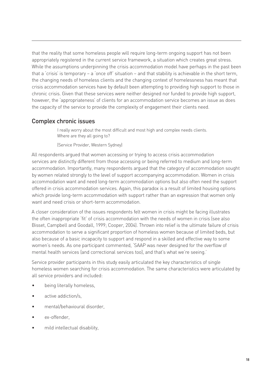that the reality that some homeless people will require long-term ongoing support has not been appropriately registered in the current service framework, a situation which creates great stress. While the assumptions underpinning the crisis accommodation model have perhaps in the past been that a 'crisis' is temporary – a 'once off' situation – and that stability is achievable in the short term, the changing needs of homeless clients and the changing context of homelessness has meant that crisis accommodation services have by default been attempting to providing high support to those in chronic crisis. Given that these services were neither designed nor funded to provide high support, however, the 'appropriateness' of clients for an accommodation service becomes an issue as does the capacity of the service to provide the complexity of engagement their clients need.

## Complex chronic issues

I really worry about the most difficult and most high and complex needs clients. Where are they all going to?

(Service Provider, Western Sydney)

All respondents argued that women accessing or trying to access crisis accommodation services are distinctly different from those accessing or being referred to medium and long-term accommodation. Importantly, many respondents argued that the category of accommodation sought by women related strongly to the level of support accompanying accommodation. Women in crisis accommodation want and need long-term accommodation options but also often need the support offered in crisis accommodation services. Again, this paradox is a result of limited housing options which provide long-term accommodation with support rather than an expression that women only want and need crisis or short-term accommodation.

A closer consideration of the issues respondents felt women in crisis might be facing illustrates the often inappropriate 'fit' of crisis accommodation with the needs of women in crisis (see also Bisset, Campbell and Goodall, 1999; Cooper, 2004). Thrown into relief is the ultimate failure of crisis accommodation to serve a significant proportion of homeless women because of limited beds, but also because of a basic incapacity to support and respond in a skilled and effective way to some women's needs. As one participant commented, 'SAAP was never designed for the overflow of mental health services (and correctional services too), and that's what we're seeing.'

Service provider participants in this study easily articulated the key characteristics of single homeless women searching for crisis accommodation. The same characteristics were articulated by all service providers and included:

- being literally homeless, •
- active addiction/s, •
- mental/behavioural disorder, •
- ex-offender, •
- mild intellectual disability, •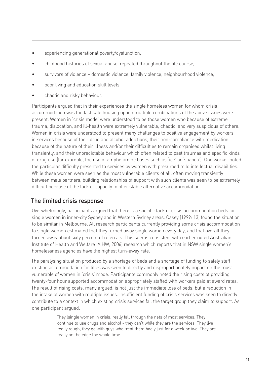- experiencing generational poverty/dysfunction, •
- childhood histories of sexual abuse, repeated throughout the life course, •
- survivors of violence domestic violence, family violence, neighbourhood violence, •
- poor living and education skill levels, •
- chaotic and risky behaviour. •

Participants argued that in their experiences the single homeless women for whom crisis accommodation was the last safe housing option multiple combinations of the above issues were present. Women in 'crisis mode' were understood to be those women who because of extreme trauma, dislocation, and ill-health were extremely vulnerable, chaotic, and very suspicious of others. Women in crisis were understood to present many challenges to positive engagement by workers in services because of their drug and alcohol addictions, their non-compliance with medication because of the nature of their illness and/or their difficulties to remain organised whilst living transiently, and their unpredictable behaviour which often related to past traumas and specific kinds of drug use (for example, the use of amphetamine bases such as 'ice' or 'shabou'). One worker noted the particular difficulty presented to services by women with presumed mild intellectual disabilities. While these women were seen as the most vulnerable clients of all, often moving transiently between male partners, building relationships of support with such clients was seen to be extremely difficult because of the lack of capacity to offer stable alternative accommodation.

## The limited crisis response

Overwhelmingly, participants argued that there is a specific lack of crisis accommodation beds for single women in inner-city Sydney and in Western Sydney areas. Casey (1999: 13) found the situation to be similar in Melbourne. All research participants currently providing some crisis accommodation to single women estimated that they turned away single women every day, and that overall they turned away about sixty percent of referrals. This seems consistent with earlier noted Australian Institute of Health and Welfare (AIHW, 2006) research which reports that in NSW single women's homelessness agencies have the highest turn-away rate.

The paralysing situation produced by a shortage of beds and a shortage of funding to safely staff existing accommodation facilities was seen to directly and disproportionately impact on the most vulnerable of women in 'crisis' mode. Participants commonly noted the rising costs of providing twenty-four hour supported accommodation appropriately staffed with workers paid at award rates. The result of rising costs, many argued, is not just the immediate loss of beds, but a reduction in the intake of women with multiple issues. Insufficient funding of crisis services was seen to directly contribute to a context in which existing crisis services fail the target group they claim to support. As one participant argued:

> They [single women in crisis] really fall through the nets of most services. They continue to use drugs and alcohol - they can't while they are the services. They live really rough, they go with guys who treat them badly just for a week or two. They are really on the edge the whole time.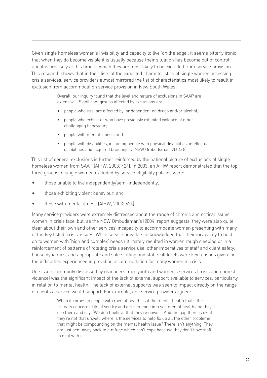Given single homeless women's invisibility and capacity to live 'on the edge', it seems bitterly ironic that when they do become visible it is usually because their situation has become out of control and it is precisely at this time at which they are most likely to be excluded from service provision. This research shows that in their lists of the expected characteristics of single women accessing crisis services, service providers almost mirrored the list of characteristics most likely to result in exclusion from accommodation service provision in New South Wales:

> Overall, our inquiry found that the level and nature of exclusions in SAAP are extensive… Significant groups affected by exclusions are:

- people who use, are affected by, or dependent on drugs and/or alcohol; •
- people who exhibit or who have previously exhibited violence of other challenging behaviour;
- people with mental illness; and •
- people with disabilities, including people with physical disabilities, intellectual disabilities and acquired brain injury (NSW Ombudsman, 2004: 8)

This list of general exclusions is further reinforced by the national picture of exclusions of single homeless women from SAAP (AIHW, 2003: 424). In 2003, an AIHW report demonstrated that the top three groups of single women excluded by service eligibility policies were:

- those unable to live independently/semi-independently, •
- those exhibiting violent behaviour, and •
- those with mental illness (AIHW, 2003: 424). •

Many service providers were extremely distressed about the range of chronic and critical issues women in crisis face, but, as the NSW Ombudsman's (2004) report suggests, they were also quite clear about their own and other services' incapacity to accommodate women presenting with many of the key listed 'crisis' issues. While service providers acknowledged that their incapacity to hold on to women with 'high and complex' needs ultimately resulted in women rough sleeping or in a reinforcement of patterns of rotating crisis service use, other imperatives of staff and client safety, house dynamics, and appropriate and safe staffing and staff skill levels were key reasons given for the difficulties experienced in providing accommodation for many women in crisis.

One issue commonly discussed by managers from youth and women's services (crisis and domestic violence) was the significant impact of the lack of external support available to services, particularly in relation to mental health. The lack of external supports was seen to impact directly on the range of clients a service would support. For example, one service provider argued:

> When it comes to people with mental health, is it the mental health that's the primary concern? Like if you try and get someone into see mental health and they'll see them and say: 'We don't believe that they're unwell'. And the gap there is ok, if they're not that unwell, where is the services to help fix up all the other problems that might be compounding on the mental health issue? There isn't anything. They are just sent away back to a refuge which can't cope because they don't have staff to deal with it.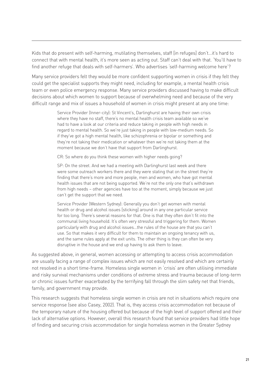Kids that do present with self-harming, mutilating themselves, staff [in refuges] don't…it's hard to connect that with mental health, it's more seen as acting out. Staff can't deal with that. 'You'll have to find another refuge that deals with self-harmers'. Who advertises 'self-harming welcome here'?

Many service providers felt they would be more confident supporting women in crisis if they felt they could get the specialist supports they might need, including for example, a mental health crisis team or even police emergency response. Many service providers discussed having to make difficult decisions about which women to support because of overwhelming need and because of the very difficult range and mix of issues a household of women in crisis might present at any one time:

> Service Provider (Inner-city): St Vincent's, Darlinghurst are having their own crisis where they have no staff, there's no mental health crisis team available so we've had to have a look at our criteria and reduce taking in people with high needs in regard to mental health. So we're just taking in people with low-medium needs. So if they've got a high mental health, like schizophrenia or bipolar or something and they're not taking their medication or whatever then we're not taking them at the moment because we don't have that support from Darlinghurst.

CR: So where do you think these women with higher needs going?

SP: On the street. And we had a meeting with Darlinghurst last week and there were some outreach workers there and they were stating that on the street they're finding that there's more and more people, men and women, who have got mental health issues that are not being supported. We're not the only one that's withdrawn from high needs – other agencies have too at the moment, simply because we just can't get the support that we need.

Service Provider (Western Sydney): Generally you don't get women with mental health or drug and alcohol issues [sticking] around in any one particular service for too long. There's several reasons for that. One is that they often don't fit into the communal living household. It's often very stressful and triggering for them. Women particularly with drug and alcohol issues…the rules of the house are that you can't use. So that makes it very difficult for them to maintain an ongoing tenancy with us, and the same rules apply at the exit units. The other thing is they can often be very disruptive in the house and we end up having to ask them to leave.

As suggested above, in general, women accessing or attempting to access crisis accommodation are usually facing a range of complex issues which are not easily resolved and which are certainly not resolved in a short time-frame. Homeless single women in 'crisis' are often utilising immediate and risky survival mechanisms under conditions of extreme stress and trauma because of long-term or chronic issues further exacerbated by the terrifying fall through the slim safety net that friends, family, and government may provide.

This research suggests that homeless single women in crisis are not in situations which require one service response (see also Casey, 2002). That is, they access crisis accommodation not because of the temporary nature of the housing offered but because of the high level of support offered and their lack of alternative options. However, overall this research found that service providers had little hope of finding and securing crisis accommodation for single homeless women in the Greater Sydney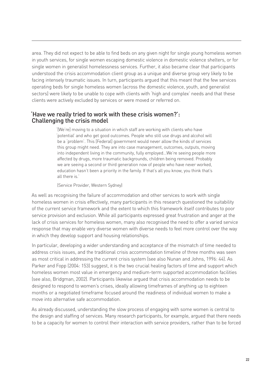area. They did not expect to be able to find beds on any given night for single young homeless women in youth services, for single women escaping domestic violence in domestic violence shelters, or for single women in generalist homelessness services. Further, it also became clear that participants understood the crisis accommodation client group as a unique and diverse group very likely to be facing intensely traumatic issues. In turn, participants argued that this meant that the few services operating beds for single homeless women (across the domestic violence, youth, and generalist sectors) were likely to be unable to cope with clients with 'high and complex' needs and that these clients were actively excluded by services or were moved or referred on.

#### 'Have we really tried to work with these crisis women?': Challenging the crisis model

'[We're] moving to a situation in which staff are working with clients who have 'potential' and who get good outcomes. People who still use drugs and alcohol will be a 'problem'. This [Federal] government would never allow the kinds of services this group might need. They are into case management, outcomes, outputs, moving into independent living in the community, fully employed...We're seeing people more affected by drugs, more traumatic backgrounds, children being removed. Probably we are seeing a second or third generation now of people who have never worked, education hasn't been a priority in the family. If that's all you know, you think that's all there is.'

(Service Provider, Western Sydney)

As well as recognising the failure of accommodation and other services to work with single homeless women in crisis effectively, many participants in this research questioned the suitability of the current service framework and the extent to which this framework itself contributes to poor service provision and exclusion. While all participants expressed great frustration and anger at the lack of crisis services for homeless women, many also recognised the need to offer a varied service response that may enable very diverse women with diverse needs to feel more control over the way in which they develop support and housing relationships.

In particular, developing a wider understanding and acceptance of the mismatch of time needed to address crisis issues, and the traditional crisis accommodation timeline of three months was seen as most critical in addressing the current crisis system (see also Nunan and Johns, 1996: 44). As Parker and Fopp (2004: 153) suggest, it is the two crucial healing factors of time and support which homeless women most value in emergency and medium-term supported accommodation facilities (see also, Bridgman, 2002). Participants likewise argued that crisis accommodation needs to be designed to respond to women's crises, ideally allowing timeframes of anything up to eighteen months or a negotiated timeframe focused around the readiness of individual women to make a move into alternative safe accommodation.

As already discussed, understanding the slow process of engaging with some women is central to the design and staffing of services. Many research participants, for example, argued that there needs to be a capacity for women to control their interaction with service providers, rather than to be forced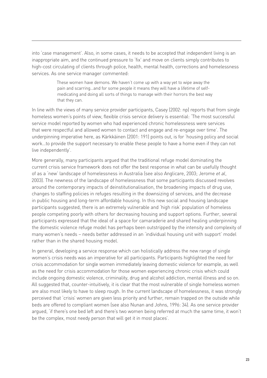into 'case management'. Also, in some cases, it needs to be accepted that independent living is an inappropriate aim, and the continued pressure to 'fix' and move on clients simply contributes to high-cost circulating of clients through police, health, mental health, corrections and homelessness services. As one service manager commented:

> These women have demons. We haven't come up with a way yet to wipe away the pain and scarring…and for some people it means they will have a lifetime of selfmedicating and doing all sorts of things to manage with their horrors the best way that they can.

In line with the views of many service provider participants, Casey (2002: np) reports that from single homeless women's points of view, flexible crisis service delivery is essential: 'The most successful service model reported by women who had experienced chronic homelessness were services that were respectful and allowed women to contact and engage and re-engage over time'. The underpinning imperative here, as Kärkkäinen (2001: 191) points out, is for 'housing policy and social work…to provide the support necessary to enable these people to have a home even if they can not live independently'.

More generally, many participants argued that the traditional refuge model dominating the current crisis service framework does not offer the best response in what can be usefully thought of as a 'new' landscape of homelessness in Australia (see also Anglicare, 2003; Jerome *et al*, 2003). The newness of the landscape of homelessness that some participants discussed revolves around the contemporary impacts of deinstitutionalisation, the broadening impacts of drug use, changes to staffing policies in refuges resulting in the downsizing of services, and the decrease in public housing and long-term affordable housing. In this new social and housing landscape participants suggested, there is an extremely vulnerable and 'high risk' population of homeless people competing poorly with others for decreasing housing and support options. Further, several participants expressed that the ideal of a space for camaraderie and shared healing underpinning the domestic violence refuge model has perhaps been outstripped by the intensity and complexity of many women's needs – needs better addressed in an 'individual housing unit with support' model rather than in the shared housing model.

In general, developing a service response which can holistically address the new range of single women's crisis needs was an imperative for all participants. Participants highlighted the need for crisis accommodation for single women immediately leaving domestic violence for example, as well as the need for crisis accommodation for those women experiencing chronic crisis which could include ongoing domestic violence, criminality, drug and alcohol addiction, mental illness and so on. All suggested that, counter-intuitively, it is clear that the most vulnerable of single homeless women are also most likely to have to sleep rough. In the current landscape of homelessness, it was strongly perceived that 'crisis' women are given less priority and further, remain trapped on the outside while beds are offered to compliant women (see also Nunan and Johns, 1996: 34). As one service provider argued, 'if there's one bed left and there's two women being referred at much the same time, it won't be the complex, most needy person that will get it in most places'.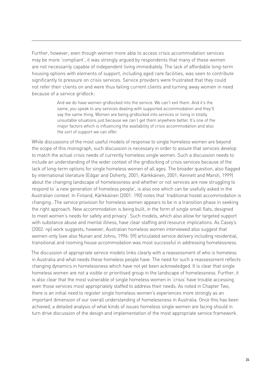Further, however, even though women more able to access crisis accommodation services may be more 'compliant', it was strongly argued by respondents that many of these women are not necessarily capable of independent living immediately. The lack of affordable long-term housing options with elements of support, including aged care facilities, was seen to contribute significantly to pressure on crisis services. Service providers were frustrated that they could not refer their clients on and were thus failing current clients and turning away women in need because of a service gridlock:

> And we do have women gridlocked into the service. We can't exit them. And it's the same, you speak to any services dealing with supported accommodation and they'll say the same thing. Women are being gridlocked into services or living in totally unsuitable situations just because we can't get them anywhere better. It's one of the major factors which is influencing the availability of crisis accommodation and also the sort of support we can offer.

While discussions of the most useful models of response to single homeless women are beyond the scope of this monograph, such discussion is necessary in order to assure that services develop to match the actual crisis needs of currently homeless single women. Such a discussion needs to include an understanding of the wider context of the gridlocking of crisis services because of the lack of long-term options for single homeless women of all ages. The broader question, also flagged by international literature (Edgar and Doherty, 2001; Kärkkäinen, 2001; Kennett and Marsh, 1999) about the changing landscape of homelessness and whether or not services are now struggling to respond to 'a new generation of homeless people', is also one which can be usefully asked in the Australian context. In Finland, Kärkkäinen (2001: 190) notes that 'traditional hostel accommodation is changing…The service provision for homeless women appears to be in a transition phase in seeking the right approach. New accommodation is being built, in the form of single small flats, designed to meet women's needs for safety and privacy'. Such models, which also allow for targeted support with substance abuse and mental illness, have clear staffing and resource implications. As Casey's (2002: np) work suggests, however, Australian homeless women interviewed also suggest that women-only (see also Nunan and Johns, 1996: 59) articulated service delivery including residential, transitional and rooming house accommodation was most successful in addressing homelessness.

The discussion of appropriate service models links clearly with a reassessment of who is homeless in Australia and what needs these homeless people have. The need for such a reassessment reflects changing dynamics in homelessness which have not yet been acknowledged. It is clear that single homeless women are not a visible or prioritised group in the landscape of homelessness. Further, it is also clear that the most vulnerable of single homeless women in 'crisis' have trouble accessing even those services most appropriately staffed to address their needs. As noted in Chapter Two, there is an initial need to register single homeless women's experiences more strongly as an important dimension of our overall understanding of homelessness in Australia. Once this has been achieved, a detailed analysis of what kinds of issues homeless single women are facing should in turn drive discussion of the design and implementation of the most appropriate service framework.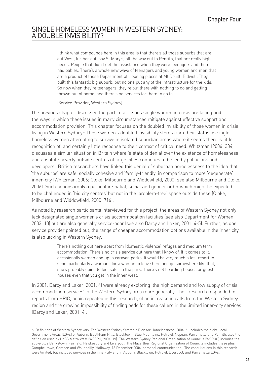## SINGLE HOMELESS WOMEN IN WESTERN SYDNEY: A DOUBLE INVISIBILITY?

I think what compounds here in this area is that there's all those suburbs that are out West, further out, say St Mary's, all the way out to Penrith, that are really high needs. People that didn't get the assistance when they were teenagers and then had babies. There's a whole new wave of teenagers and young women and men that are a product of those Department of Housing places at Mt Druitt, Bidwell. They built this fantastic big suburb, but no one put any of the infrastructure for the kids. So now when they're teenagers, they're out there with nothing to do and getting thrown out of home, and there's no services for them to go to.

(Service Provider, Western Sydney)

The previous chapter discussed the particular issues single women in crisis are facing and the ways in which these issues in many circumstances mitigate against effective support and accommodation provision. This chapter focuses on the doubled invisibility of those women in crisis living in Western Sydney.<sup>6</sup> These women's doubled invisibility stems from their status as single homeless women attempting to survive in isolated suburban areas where it seems there is little recognition of, and certainly little response to their context of critical need. Whitzman (2006: 384) discusses a similar situation in Britain where 'a state of denial over the existence of homelessness and absolute poverty outside centres of large cities continues to be fed by politicians and developers'. British researchers have linked this denial of suburban homelessness to the idea that 'the suburbs' are safe, socially cohesive and 'family-friendly' in comparison to more 'degenerate' inner-city (Whitzman, 2006; Cloke, Milbourne and Widdowfield, 2000; see also Milbourne and Cloke, 2006). Such notions imply a particular spatial, social and gender order which might be expected to be challenged in 'big city centres' but not in the 'problem-free' space outside these (Cloke, Milbourne and Widdowfield, 2000: 716).

As noted by research participants interviewed for this project, the areas of Western Sydney not only lack designated single women's crisis accommodation facilities (see also Department for Women, 2003: 10) but are also generally service-poor (see also Darcy and Laker, 2001: 4-5). Further, as one service provider pointed out, the range of cheaper accommodation options available in the inner city is also lacking in Western Sydney:

> There's nothing out here apart from [domestic violence] refuges and medium term accommodation. There's no crisis service out here that I know of. If it comes to it, occasionally women end up in caravan parks. It would be very much a last resort to send, particularly a woman…for a woman to leave here and go somewhere like that, she's probably going to feel safer in the park. There's not boarding houses or guest houses even that you get in the inner west.

In 2001, Darcy and Laker (2001: 4) were already exploring 'the high demand and low supply of crisis accommodation services' in the Western Sydney area more generally. Their research responded to reports from HPIC, again repeated in this research, of an increase in calls from the Western Sydney region and the growing impossibility of finding beds for these callers in the limited inner-city services (Darcy and Laker, 2001: 4).

<sup>6.</sup> Definitions of Western Sydney vary. The Western Sydney Strategic Plan for Homelessness (2004: 6) includes the eight Local Government Areas (LGAs) of Auburn, Baulkham Hills, Blacktown, Blue Mountains, Holroyd, Nepean, Parramatta and Penrith, also the definition used by DoCS Metro West (WSSPH, 2004: 19). The Western Sydney Regional Organisation of Councils (WSROC) includes the above plus Bankstown, Fairfield, Hawkesbury and Liverpool. The Macarthur Regional Organisation of Councils includes these plus Campbelltown, Camden and Wollondilly (Holloway, 13 December 2004, personal communication). The consultations in this research were limited, but included services in the inner-city and in Auburn, Blacktown, Holroyd, Liverpool, and Parramatta LGAs.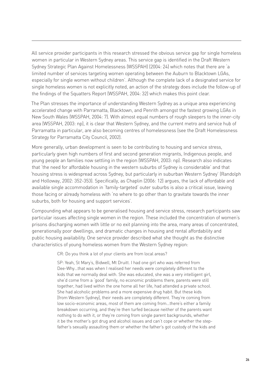All service provider participants in this research stressed the obvious service gap for single homeless women in particular in Western Sydney areas. This service gap is identified in the Draft Western Sydney Strategic Plan Against Homelessness (WSSPAH) (2004: 24) which notes that there are 'a limited number of services targeting women operating between the Auburn to Blacktown LGAs, especially for single women without children'. Although the complete lack of a designated service for single homeless women is not explicitly noted, an action of the strategy does include the follow-up of the findings of the Squatters Report (WSSPAH, 2004: 32) which makes this point clear.

The Plan stresses the importance of understanding Western Sydney as a unique area experiencing accelerated change with Parramatta, Blacktown, and Penrith amongst the fastest growing LGAs in New South Wales (WSSPAH, 2004: 7). With almost equal numbers of rough sleepers to the inner-city area (WSSPAH, 2003: np), it is clear that Western Sydney, and the current metro and service hub of Parramatta in particular, are also becoming centres of homelessness (see the Draft Homelessness Strategy for Parramatta City Council, 2002).

More generally, urban development is seen to be contributing to housing and service stress, particularly given high numbers of first and second generation migrants, Indigenous people, and young people an families now settling in the region (WSSPAH, 2003: np). Research also indicates that 'the need for affordable housing in the western suburbs of Sydney is considerable' and that 'housing stress is widespread across Sydney, but particularly in suburban Western Sydney' (Randolph and Holloway, 2002: 352-353). Specifically, as Chaplin (2006: 12) argues, the lack of affordable and available single accommodation in 'family-targeted' outer suburbs is also a critical issue, leaving those facing or already homeless with 'no where to go other than to gravitate towards the inner suburbs, both for housing and support services'.

Compounding what appears to be generalised housing and service stress, research participants saw particular issues affecting single women in the region. These included the concentration of women's prisons discharging women with little or no exit planning into the area, many areas of concentrated, generationally poor dwellings, and dramatic changes in housing and rental affordability and public housing availability. One service provider described what she thought as the distinctive characteristics of young homeless women from the Western Sydney region:

CR: Do you think a lot of your clients are from local areas?

SP: Yeah, St Mary's, Bidwell, Mt Druitt. I had one girl who was referred from Dee-Why…that was when I realised her needs were completely different to the kids that we normally deal with. She was educated, she was a very intelligent girl, she'd come from a 'good' family, no economic problems there, parents were still together, had lived within the one home all her life, had attended a private school. She had alcoholic problems and a more expensive drug habit. But these kids [from Western Sydney], their needs are completely different. They're coming from low socio-economic areas, most of them are coming from…there's either a family breakdown occurring, and they're then turfed because neither of the parents want nothing to do with it, or they're coming from single parent backgrounds, whether it be the mother's got drug and alcohol issues and can't cope or whether the stepfather's sexually assaulting them or whether the father's got custody of the kids and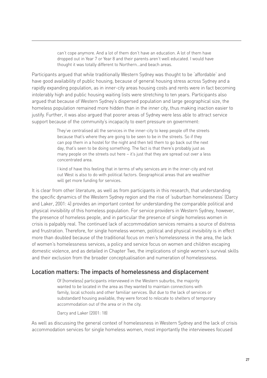can't cope anymore. And a lot of them don't have an education. A lot of them have dropped out in Year 7 or Year 8 and their parents aren't well educated. I would have thought it was totally different to Northern…and beach areas.

Participants argued that while traditionally Western Sydney was thought to be 'affordable' and have good availability of public housing, because of general housing stress across Sydney and a rapidly expanding population, as in inner-city areas housing costs and rents were in fact becoming intolerably high and public housing waiting lists were stretching to ten years. Participants also argued that because of Western Sydney's dispersed population and large geographical size, the homeless population remained more hidden than in the inner city, thus making inaction easier to justify. Further, it was also argued that poorer areas of Sydney were less able to attract service support because of the community's incapacity to exert pressure on government:

> They've centralised all the services in the inner-city to keep people off the streets because that's where they are going to be seen to be in the streets. So if they can pop them in a hostel for the night and then tell them to go back out the next day, that's seen to be doing something. The fact is that there's probably just as many people on the streets out here – it's just that they are spread out over a less concentrated area.

I kind of have this feeling that in terms of why services are in the inner-city and not out West is also to do with political factors. Geographical areas that are wealthier will get more funding for services.

It is clear from other literature, as well as from participants in this research, that understanding the specific dynamics of the Western Sydney region and the rise of 'suburban homelessness' (Darcy and Laker, 2001: 4) provides an important context for understanding the comparable political and physical invisibility of this homeless population. For service providers in Western Sydney, however, the presence of homeless people, and in particular the presence of single homeless women in crisis is palpably real. The continued lack of accommodation services remains a source of distress and frustration. Therefore, for single homeless women, political and physical invisibility is in effect more than doubled because of the traditional focus on men's homelessness in the area, the lack of women's homelessness services, a policy and service focus on women and children escaping domestic violence, and as detailed in Chapter Two, the implications of single women's survival skills and their exclusion from the broader conceptualisation and numeration of homelessness.

## Location matters: The impacts of homelessness and displacement

Of [homeless] participants interviewed in the Western suburbs, the majority wanted to be located in the area as they wanted to maintain connections with family, local schools and other familiar services. But due to the lack of services or substandard housing available, they were forced to relocate to shelters of temporary accommodation out of the area or in the city.

Darcy and Laker (2001: 18)

As well as discussing the general context of homelessness in Western Sydney and the lack of crisis accommodation services for single homeless women, most importantly the interviewees focused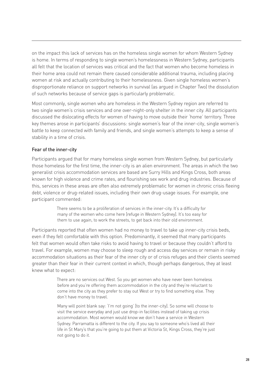on the impact this lack of services has on the homeless single women for whom Western Sydney is home. In terms of responding to single women's homelessness in Western Sydney, participants all felt that the location of services was critical and the fact that women who become homeless in their home area could not remain there caused considerable additional trauma, including placing women at risk and actually contributing to their homelessness. Given single homeless women's disproportionate reliance on support networks in survival (as argued in Chapter Two) the dissolution of such networks because of service gaps is particularly problematic.

Most commonly, single women who are homeless in the Western Sydney region are referred to two single women's crisis services and one over-night-only shelter in the inner city. All participants discussed the dislocating effects for women of having to move outside their 'home' territory. Three key themes arose in participants' discussions: single women's fear of the inner-city, single women's battle to keep connected with family and friends, and single women's attempts to keep a sense of stability in a time of crisis.

#### Fear of the inner-city

Participants argued that for many homeless single women from Western Sydney, but particularly those homeless for the first time, the inner-city is an alien environment. The areas in which the two generalist crisis accommodation services are based are Surry Hills and Kings Cross, both areas known for high violence and crime rates, and flourishing sex work and drug industries. Because of this, services in these areas are often also extremely problematic for women in chronic crisis fleeing debt, violence or drug-related issues, including their own drug-usage issues. For example, one participant commented:

> There seems to be a proliferation of services in the inner-city. It's a difficulty for many of the women who come here [refuge in Western Sydney]. It's too easy for them to use again, to work the streets, to get back into their old environment.

Participants reported that often women had no money to travel to take up inner-city crisis beds, even if they felt comfortable with this option. Predominantly, it seemed that many participants felt that women would often take risks to avoid having to travel or because they couldn't afford to travel. For example, women may choose to sleep rough and access day services or remain in risky accommodation situations as their fear of the inner city or of crisis refuges and their clients seemed greater than their fear in their current context in which, though perhaps dangerous, they at least knew what to expect:

> There are no services out West. So you get women who have never been homeless before and you're offering them accommodation in the city and they're reluctant to come into the city as they prefer to stay out West or try to find something else. They don't have money to travel.

> Many will point blank say: 'I'm not going' [to the inner-city]. So some will choose to visit the service everyday and just use drop-in facilities instead of taking up crisis accommodation. Most women would know we don't have a service in Western Sydney. Parramatta is different to the city. If you say to someone who's lived all their life in St Mary's that you're going to put them at Victoria St, Kings Cross, they're just not going to do it.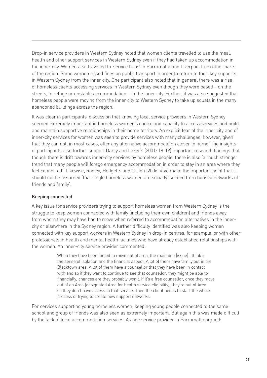Drop-in service providers in Western Sydney noted that women clients travelled to use the meal, health and other support services in Western Sydney even if they had taken up accommodation in the inner city. Women also travelled to 'service hubs' in Parramatta and Liverpool from other parts of the region. Some women risked fines on public transport in order to return to their key supports in Western Sydney from the inner city. One participant also noted that in general there was a rise of homeless clients accessing services in Western Sydney even though they were based – on the streets, in refuge or unstable accommodation – in the inner city. Further, it was also suggested that homeless people were moving from the inner city to Western Sydney to take up squats in the many abandoned buildings across the region.

It was clear in participants' discussion that knowing local service providers in Western Sydney seemed extremely important in homeless women's choice and capacity to access services and build and maintain supportive relationships in their home territory. An explicit fear of the inner city and of inner-city services for women was seen to provide services with many challenges, however, given that they can not, in most cases, offer any alternative accommodation closer to home. The insights of participants also further support Darcy and Laker's (2001: 18-19) important research findings that though there is drift towards inner-city services by homeless people, there is also 'a much stronger trend that many people will forego emergency accommodation in order to stay in an area where they feel connected'. Likewise, Radley, Hodgetts and Cullen (2006: 454) make the important point that it should not be assumed 'that single homeless women are socially isolated from housed networks of friends and family'.

#### Keeping connected

A key issue for service providers trying to support homeless women from Western Sydney is the struggle to keep women connected with family (including their own children) and friends away from whom they may have had to move when referred to accommodation alternatives in the innercity or elsewhere in the Sydney region. A further difficulty identified was also keeping women connected with key support workers in Western Sydney in drop-in centres, for example, or with other professionals in health and mental health facilities who have already established relationships with the women. An inner-city service provider commented:

> When they have been forced to move out of area, the main one [issue] I think is the sense of isolation and the financial aspect. A lot of them have family out in the Blacktown area. A lot of them have a counsellor that they have been in contact with and so if they want to continue to see that counsellor, they might be able to financially, chances are they probably won't. If it's a free counsellor, once they move out of an Area [designated Area for health service eligibility], they're out of Area so they don't have access to that service. Then the client needs to start the whole process of trying to create new support networks.

For services supporting young homeless women, keeping young people connected to the same school and group of friends was also seen as extremely important. But again this was made difficult by the lack of local accommodation services. As one service provider in Parramatta argued: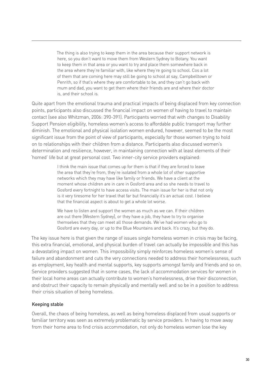The thing is also trying to keep them in the area because their support network is here, so you don't want to move them from Western Sydney to Botany. You want to keep them in that area or you want to try and place them somewhere back in the area where they're familiar with, like where they're going to school. Cos a lot of them that are coming here may still be going to school at say, Campbelltown or Penrith, so if that's where they are comfortable to be, and they can't go back with mum and dad, you want to get them where their friends are and where their doctor is, and their school is.

Quite apart from the emotional trauma and practical impacts of being displaced from key connection points, participants also discussed the financial impact on women of having to travel to maintain contact (see also Whitzman, 2006: 390-391). Participants worried that with changes to Disability Support Pension eligibility, homeless women's access to affordable public transport may further diminish. The emotional and physical isolation women endured, however, seemed to be the most significant issue from the point of view of participants, especially for those women trying to hold on to relationships with their children from a distance. Participants also discussed women's determination and resilience, however, in maintaining connection with at least elements of their 'homed' life but at great personal cost. Two inner-city service providers explained:

> I think the main issue that comes up for them is that if they are forced to leave the area that they're from, they're isolated from a whole lot of other supportive networks which they may have like family or friends. We have a client at the moment whose children are in care in Gosford area and so she needs to travel to Gosford every fortnight to have access visits. The main issue for her is that not only is it very tiresome for her travel that far but financially it's an actual cost. I believe that the financial aspect is about to get a whole lot worse.

> We have to listen and support the women as much as we can. If their children are out there [Western Sydney], or they have a job, they have to try to organise themselves that they can meet all those demands. We've had women who go to Gosford are every day, or up to the Blue Mountains and back. It's crazy, but they do.

The key issue here is that given the range of issues single homeless women in crisis may be facing, this extra financial, emotional, and physical burden of travel can actually be impossible and this has a devastating impact on women. This impossibility simply reinforces homeless women's sense of failure and abandonment and cuts the very connections needed to address their homelessness, such as employment, key health and mental supports, key supports amongst family and friends and so on. Service providers suggested that in some cases, the lack of accommodation services for women in their local home areas can actually contribute to women's homelessness, drive their disconnection, and obstruct their capacity to remain physically and mentally well and so be in a position to address their crisis situation of being homeless.

#### Keeping stable

Overall, the chaos of being homeless, as well as being homeless displaced from usual supports or familiar territory was seen as extremely problematic by service providers. In having to move away from their home area to find crisis accommodation, not only do homeless women lose the key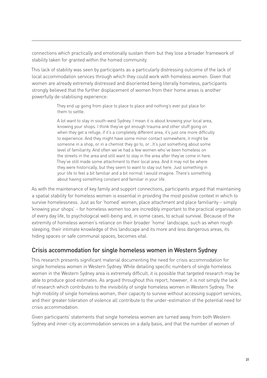connections which practically and emotionally sustain them but they lose a broader framework of stability taken for granted within the homed community.

This lack of stability was seen by participants as a particularly distressing outcome of the lack of local accommodation services through which they could work with homeless women. Given that women are already extremely distressed and disoriented being literally homeless, participants strongly believed that the further displacement of women from their home areas is another powerfully de-stabilising experience:

> They end up going from place to place to place and nothing's ever put place for them to settle.

A lot want to stay in south-west Sydney. I mean it is about knowing your local area, knowing your shops. I think they've got enough trauma and other stuff going on when they get a refuge, if it's a completely different area, it's just one more difficulty to experience. And they might have some minor contact somewhere, it might be someone in a shop, or in a chemist they go to, or…It's just something about some level of familiarity. And often we've had a few women who've been homeless on the streets in the area and still want to stay in the area after they've come in here. They've still made some attachment to their local area. And it may not be where they were historically, but they seem to want to stay out here. Just something in your life to feel a bit familiar and a bit normal I would imagine. There's something about having something constant and familiar in your life.

As with the maintenance of key family and support connections, participants argued that maintaining a spatial stability for homeless women is essential in providing the most positive context in which to survive homelessness. Just as for 'homed' women, place attachment and place familiarity – simply 'knowing your shops' – for homeless women too are incredibly important to the practical organisation of every day life, to psychological well-being and, in some cases, to actual survival. Because of the extremity of homeless women's reliance on their broader 'home' landscape, such as when rough sleeping, their intimate knowledge of this landscape and its more and less dangerous areas, its hiding spaces or safe communal spaces, becomes vital.

## Crisis accommodation for single homeless women in Western Sydney

This research presents significant material documenting the need for crisis accommodation for single homeless women in Western Sydney. While detailing specific numbers of single homeless women in the Western Sydney area is extremely difficult, it is possible that targeted research may be able to produce good estimates. As argued throughout this report, however, it is not simply the lack of research which contributes to the invisibility of single homeless women in Western Sydney. The high mobility of single homeless women, their capacity to survive without accessing support services, and their greater toleration of violence all contribute to the under-estimation of the potential need for crisis accommodation.

Given participants' statements that single homeless women are turned away from both Western Sydney and inner-city accommodation services on a daily basis, and that the number of women of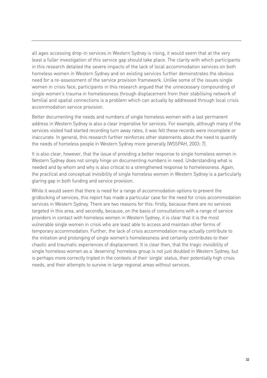all ages accessing drop-in services in Western Sydney is rising, it would seem that at the very least a fuller investigation of this service gap should take place. The clarity with which participants in this research detailed the severe impacts of the lack of local accommodation services on both homeless women in Western Sydney and on existing services further demonstrates the obvious need for a re-assessment of the service provision framework. Unlike some of the issues single women in crisis face, participants in this research argued that the unnecessary compounding of single women's trauma in homelessness through displacement from their stabilising network of familial and spatial connections is a problem which can actually by addressed through local crisis accommodation service provision.

Better documenting the needs and numbers of single homeless women with a last permanent address in Western Sydney is also a clear imperative for services. For example, although many of the services visited had started recording turn away rates, it was felt these records were incomplete or inaccurate. In general, this research further reinforces other statements about the need to quantify the needs of homeless people in Western Sydney more generally (WSSPAH, 2003: 7).

It is also clear, however, that the issue of providing a better response to single homeless women in Western Sydney does not simply hinge on documenting numbers in need. Understanding what is needed and by whom and why is also critical to a strengthened response to homelessness. Again, the practical and conceptual invisibility of single homeless women in Western Sydney is a particularly glaring gap in both funding and service provision.

While it would seem that there is need for a range of accommodation options to prevent the gridlocking of services, this report has made a particular case for the need for crisis accommodation services in Western Sydney. There are two reasons for this: firstly, because there are no services targeted in this area, and secondly, because, on the basis of consultations with a range of service providers in contact with homeless women in Western Sydney, it is clear that it is the most vulnerable single women in crisis who are least able to access and maintain other forms of temporary accommodation. Further, the lack of crisis accommodation may actually contribute to the initiation and prolonging of single women's homelessness and certainly contributes to their chaotic and traumatic experiences of displacement. It is clear then, that the tragic invisibility of single homeless women as a 'deserving' homeless group is not just doubled in Western Sydney, but is perhaps more correctly tripled in the contexts of their 'single' status, their potentially high crisis needs, and their attempts to survive in large regional areas without services.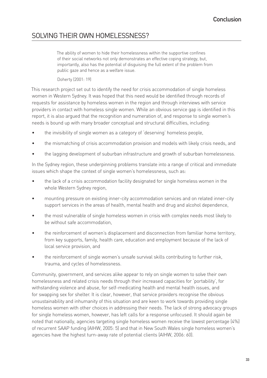## SOLVING THEIR OWN HOMELESSNESS?

The ability of women to hide their homelessness within the supportive confines of their social networks not only demonstrates an effective coping strategy, but, importantly, also has the potential of disguising the full extent of the problem from public gaze and hence as a welfare issue.

Doherty (2001: 19)

This research project set out to identify the need for crisis accommodation of single homeless women in Western Sydney. It was hoped that this need would be identified through records of requests for assistance by homeless women in the region and through interviews with service providers in contact with homeless single women. While an obvious service gap is identified in this report, it is also argued that the recognition and numeration of, and response to single women's needs is bound up with many broader conceptual and structural difficulties, including:

- the invisibility of single women as a category of 'deserving' homeless people, •
- the mismatching of crisis accommodation provision and models with likely crisis needs, and •
- the lagging development of suburban infrastructure and growth of suburban homelessness. •

In the Sydney region, these underpinning problems translate into a range of critical and immediate issues which shape the context of single women's homelessness, such as:

- the lack of a crisis accommodation facility designated for single homeless women in the whole Western Sydney region, •
- mounting pressure on existing inner-city accommodation services and on related inner-city support services in the areas of health, mental health and drug and alcohol dependence, •
- the most vulnerable of single homeless women in crisis with complex needs most likely to be without safe accommodation, •
- the reinforcement of women's displacement and disconnection from familiar home territory, from key supports, family, health care, education and employment because of the lack of local service provision, and •
- the reinforcement of single women's unsafe survival skills contributing to further risk, trauma, and cycles of homelessness. •

Community, government, and services alike appear to rely on single women to solve their own homelessness and related crisis needs through their increased capacities for 'portability', for withstanding violence and abuse, for self-medicating health and mental health issues, and for swapping sex for shelter. It is clear, however, that service providers recognise the obvious unsustainability and inhumanity of this situation and are keen to work towards providing single homeless women with other choices in addressing their needs. The lack of strong advocacy groups for single homeless women, however, has left calls for a response unfocused. It should again be noted that nationally, agencies targeting single homeless women receive the lowest percentage (4%) of recurrent SAAP funding (AIHW, 2005: 5) and that in New South Wales single homeless women's agencies have the highest turn-away rate of potential clients (AIHW, 2006: 60).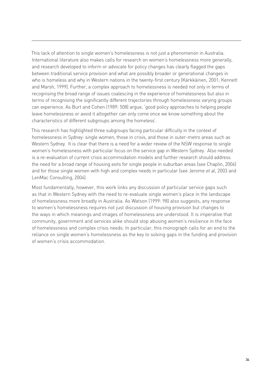This lack of attention to single women's homelessness is not just a phenomenon in Australia. International literature also makes calls for research on women's homelessness more generally, and research developed to inform or advocate for policy changes has clearly flagged the gaps between traditional service provision and what are possibly broader or generational changes in who is homeless and why in Western nations in the twenty-first century (Kärkkäinen, 2001; Kennett and Marsh, 1999). Further, a complex approach to homelessness is needed not only in terms of recognising the broad range of issues coalescing in the experience of homelessness but also in terms of recognising the significantly different trajectories through homelessness varying groups can experience. As Burt and Cohen (1989: 508) argue, 'good policy approaches to helping people leave homelessness or avoid it altogether can only come once we know something about the characteristics of different subgroups among the homeless'.

This research has highlighted three subgroups facing particular difficulty in the context of homelessness in Sydney: single women, those in crisis, and those in outer-metro areas such as Western Sydney. It is clear that there is a need for a wider review of the NSW response to single women's homelessness with particular focus on the service gap in Western Sydney. Also needed is a re-evaluation of current crisis accommodation models and further research should address the need for a broad range of housing exits for single people in suburban areas (see Chaplin, 2006) and for those single women with high and complex needs in particular (see Jerome *et al*, 2003 and LenMac Consulting, 2004).

Most fundamentally, however, this work links any discussion of particular service gaps such as that in Western Sydney with the need to re-evaluate single women's place in the landscape of homelessness more broadly in Australia. As Watson (1999: 98) also suggests, any response to women's homelessness requires not just discussion of housing provision but changes to the ways in which meanings and images of homelessness are understood. It is imperative that community, government and services alike should stop abusing women's resilience in the face of homelessness and complex crisis needs. In particular, this monograph calls for an end to the reliance on single women's homelessness as the key to solving gaps in the funding and provision of women's crisis accommodation.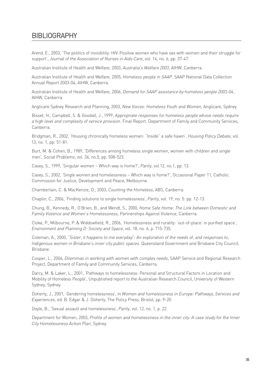## **BIBLIOGRAPHY**

Arend, E., 2003, 'The politics of invisibility: HIV-Positive women who have sex with women and their struggle for support', *Journal of the Association of Nurses in Aids Care*, vol. 14, no. 6, pp. 37-47.

Australian Institute of Health and Welfare, 2003, *Australia's Welfare 2003*, AIHW, Canberra.

Australian Institute of Health and Welfare, 2005, *Homeless people in SAAP*. SAAP National Data Collection Annual Report 2003-04*,* AIHW, Canberra.

Australian Institute of Health and Welfare, 2006, *Demand for SAAP assistance by homeless people 2003-04*, AIHW, Canberra.

Anglicare Sydney Research and Planning, 2003, *New Voices: Homeless Youth and Women*, Anglicare, Sydney.

Bisset, H., Campbell, S. & Goodall, J., 1999, *Appropriate responses for homeless people whose needs require a high level and complexity of service provision*. Final Report. Department of Family and Community Services, Canberra.

Bridgman, R., 2002, 'Housing chronically homeless women: "Inside" a safe haven', *Housing Policy Debate*, vol. 13, no. 1, pp: 51-81.

Burt, M. & Cohen, B., 1989, 'Differences among homeless single women, women with children and single men', *Social Problems*, vol. 36, no.5, pp. 508-523.

Casey, S., 1999, 'Singular women – Which way is home?', *Parity*, vol.12, no.1, pp. 13.

Casey, S., 2002, 'Single women and homelessness – Which way is home?', Occasional Paper 11, Catholic Commission for Justice, Development and Peace, Melbourne.

Chamberlain, C. & MacKenzie, D., 2003, *Counting the Homeless*, ABS, Canberra.

Chaplin, C., 2006, 'Finding solutions to single homelessness', *Parity*, vol. 19, no. 5: pp. 12-13.

Chung, B., Kennedy, R., O'Brien, B., and Wendt, S., 2000, *Home Safe Home: The Link between Domestic and Family Violence and Women's Homelessness*, Partnerships Against Violence, Canberra.

Cloke, P., Milbourne, P. & Widdowfield, R., 2006, 'Homelessness and rurality: 'out-of-place' in purified space', *Environment and Planning D: Society and Space*, vol. 18, no. 6, p. 715-735.

Coleman, A., 2000, *"Sister, it happens to me everyday": An exploration of the needs of, and responses to, Indigenous women in Brisbane's inner city public spaces.* Queensland Government and Brisbane City Council, Brisbane.

Cooper, L., 2004, *Dilemmas in working with women with complex needs*, SAAP Service and Regional Research Project, Department of Family and Community Services, Canberra.

Darcy, M. & Laker, L., 2001, 'Pathways to homelessness: Personal and Structural Factors in Location and Mobility of Homeless People', Unpublished report to the Australian Research Council, University of Western Sydney, Sydney.

Doherty, J., 2001, 'Gendering homelessness', in *Women and homelessness in Europe: Pathways, Services and Experiences*, ed. B. Edgar & J. Doherty, The Policy Press, Bristol, pp. 9-20.

Doyle, B., 'Sexual assault and homelessness', *Parity*, vol. 12, no. 1, p. 22.

Department for Women, 2003, *Profile of women and homelessness in the inner city: A case study for the Inner City Homelessness Action Plan*, Sydney.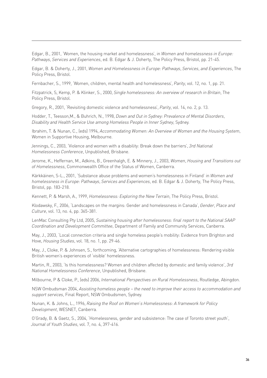Edgar, B., 2001, 'Women, the housing market and homelessness', in *Women and homelessness in Europe: Pathways, Services and Experiences*, ed. B. Edgar & J. Doherty, The Policy Press, Bristol, pp. 21-45.

Edgar, B. & Doherty, J., 2001, *Women and Homelessness in Europe: Pathways, Services, and Experiences*, The Policy Press, Bristol.

Fernbacher, S., 1999, 'Women, children, mental health and homelessness', *Parity*, vol. 12, no. 1, pp. 21.

Fitzpatrick, S, Kemp, P. & Klinker, S., 2000, *Single homelessness: An overview of research in Britain*, The Policy Press, Bristol.

Gregory, R., 2001, 'Revisiting domestic violence and homelessness', *Parity*, vol. 14, no. 2, p. 13.

Hodder, T., Teesson,M., & Buhrich, N., 1998, *Down and Out in Sydney: Prevalence of Mental Disorders, Disability and Health Service Use among Homeless People in Inner Sydney*, Sydney.

Ibrahim, T. & Nunan, C., (eds) 1994, *Accommodating Women: An Overview of Women and the Housing System*, Women in Supportive Housing, Melbourne.

Jennings, C., 2003, 'Violence and women with a disability: Break down the barriers', *3rd National Homelessness Conference*, Unpublished, Brisbane.

Jerome, K., Heffernan, M., Adkins, B., Greenhalgh, E. & Minnery, J., 2003, *Women, Housing and Transitions out of Homelessness*, Commonwealth Office of the Status of Women, Canberra.

Kärkkäinen, S-L., 2001, 'Substance abuse problems and women's homelessness in Finland' in *Women and homelessness in Europe: Pathways, Services and Experiences*, ed. B. Edgar & J. Doherty, The Policy Press, Bristol, pp. 183-218.

Kennett, P. & Marsh, A., 1999, *Homelessness: Exploring the New Terrain*, The Policy Press, Bristol.

Klodawsky, F., 2006, 'Landscapes on the margins: Gender and homelessness in Canada', *Gender, Place and Culture*, vol. 13, no. 4, pp. 365-381.

LenMac Consulting Pty Ltd, 2005, *Sustaining housing after homelessness: final report to the National SAAP Coordination and Development Committee*, Department of Family and Community Services, Canberra.

May, J., 2003, 'Local connection criteria and single homeless people's mobility: Evidence from Brighton and Hove, *Housing Studies*, vol. 18, no. 1, pp. 29-46.

May, J., Cloke, P. & Johnsen, S., forthcoming, 'Alternative cartographies of homelessness: Rendering visible British women's experiences of 'visible' homelessness.

Martin, R., 2003, 'Is this homelessness? Women and children affected by domestic and family violence', *3rd National Homelessness Conference*, Unpublished, Brisbane.

Milbourne, P & Cloke, P., (eds) 2006, *International Perspectives on Rural Homelessness*, Routledge, Abingdon.

NSW Ombudsman 2004, *Assisting homeless people – the need to improve their access to accommodation and support services*, Final Report, NSW Ombudsmen, Sydney.

Nunan, K. & Johns, L., 1996, *Raising the Roof on Women's Homelessness: A framework for Policy Development*, WESNET, Canberra.

O'Grady, B. & Gaetz, S., 2004, 'Homelessness, gender and subsistence: The case of Toronto street youth', *Journal of Youth Studies*, vol. 7, no. 4, 397-416.